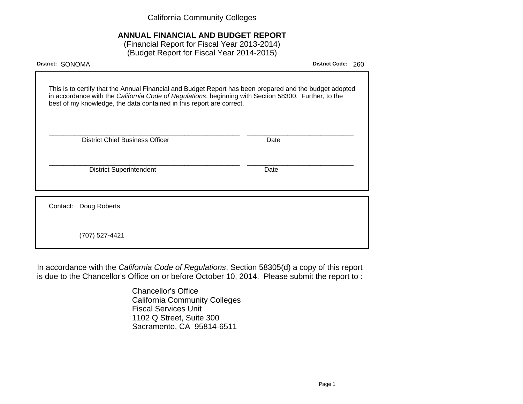California Community Colleges

# **ANNUAL FINANCIAL AND BUDGET REPORT**

(Financial Report for Fiscal Year 2013-2014) (Budget Report for Fiscal Year 2014-2015)

| District: SONOMA                                                                                                                                                                                                                                                                        | <b>District Code:</b><br>260 |
|-----------------------------------------------------------------------------------------------------------------------------------------------------------------------------------------------------------------------------------------------------------------------------------------|------------------------------|
| This is to certify that the Annual Financial and Budget Report has been prepared and the budget adopted<br>in accordance with the California Code of Regulations, beginning with Section 58300. Further, to the<br>best of my knowledge, the data contained in this report are correct. |                              |
| <b>District Chief Business Officer</b>                                                                                                                                                                                                                                                  | Date                         |
| <b>District Superintendent</b>                                                                                                                                                                                                                                                          | Date                         |
| Contact: Doug Roberts                                                                                                                                                                                                                                                                   |                              |
| (707) 527-4421                                                                                                                                                                                                                                                                          |                              |

In accordance with the California Code of Regulations, Section 58305(d) a copy of this report is due to the Chancellor's Office on or before October 10, 2014. Please submit the report to :

> Chancellor's Office California Community Colleges Fiscal Services Unit 1102 Q Street, Suite 300 Sacramento, CA 95814-6511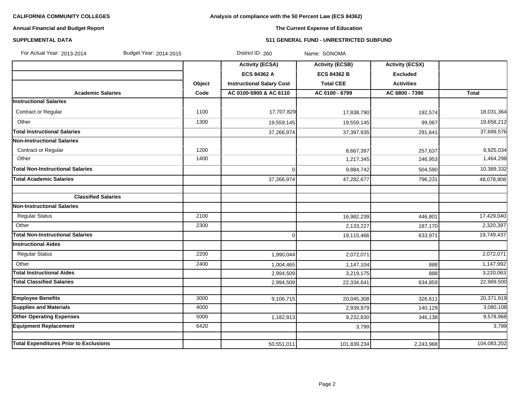# **Analysis of compliance with the 50 Percent Law (ECS 84362)**

# **Annual Financial and Budget Report**

# **The Current Expense of Education**

### **SUPPLEMENTAL DATA S11 GENERAL FUND - UNRESTRICTED SUBFUND**

| For Actual Year: 2013-2014<br>Budget Year: 2014-2015 |        | District ID: 260                 | Name: SONOMA           |                        |             |
|------------------------------------------------------|--------|----------------------------------|------------------------|------------------------|-------------|
|                                                      |        | <b>Activity (ECSA)</b>           | <b>Activity (ECSB)</b> | <b>Activity (ECSX)</b> |             |
|                                                      |        | <b>ECS 84362 A</b>               | <b>ECS 84362 B</b>     | <b>Excluded</b>        |             |
|                                                      | Object | <b>Instructional Salary Cost</b> | <b>Total CEE</b>       | <b>Activities</b>      |             |
| <b>Academic Salaries</b>                             | Code   | AC 0100-5900 & AC 6110           | AC 0100 - 6799         | AC 6800 - 7390         | Total       |
| <b>Instructional Salaries</b>                        |        |                                  |                        |                        |             |
| Contract or Regular                                  | 1100   | 17,707,829                       | 17,838,790             | 192,574                | 18,031,364  |
| Other                                                | 1300   | 19,559,145                       | 19,559,145             | 99,067                 | 19,658,212  |
| <b>Total Instructional Salaries</b>                  |        | 37,266,974                       | 37,397,935             | 291,641                | 37,689,576  |
| <b>Non-Instructional Salaries</b>                    |        |                                  |                        |                        |             |
| Contract or Regular                                  | 1200   |                                  | 8,667,397              | 257,637                | 8,925,034   |
| Other                                                | 1400   |                                  | 1,217,345              | 246,953                | 1,464,298   |
| <b>Total Non-Instructional Salaries</b>              |        | $\Omega$                         | 9,884,742              | 504,590                | 10,389,332  |
| <b>Total Academic Salaries</b>                       |        | 37,266,974                       | 47,282,677             | 796,231                | 48,078,908  |
|                                                      |        |                                  |                        |                        |             |
| <b>Classified Salaries</b>                           |        |                                  |                        |                        |             |
| <b>Non-Instructional Salaries</b>                    |        |                                  |                        |                        |             |
| <b>Regular Status</b>                                | 2100   |                                  | 16,982,239             | 446,801                | 17,429,040  |
| Other                                                | 2300   |                                  | 2,133,227              | 187,170                | 2,320,397   |
| <b>Total Non-Instructional Salaries</b>              |        | $\Omega$                         | 19,115,466             | 633,971                | 19,749,437  |
| <b>Instructional Aides</b>                           |        |                                  |                        |                        |             |
| <b>Regular Status</b>                                | 2200   | 1,990,044                        | 2,072,071              |                        | 2,072,071   |
| Other                                                | 2400   | 1,004,465                        | 1,147,104              | 888                    | 1,147,992   |
| <b>Total Instructional Aides</b>                     |        | 2,994,509                        | 3,219,175              | 888                    | 3,220,063   |
| <b>Total Classified Salaries</b>                     |        | 2,994,509                        | 22,334,641             | 634,859                | 22,969,500  |
|                                                      |        |                                  |                        |                        |             |
| <b>Employee Benefits</b>                             | 3000   | 9,106,715                        | 20,045,308             | 326,611                | 20,371,919  |
| <b>Supplies and Materials</b>                        | 4000   |                                  | 2,939,979              | 140,129                | 3,080,108   |
| <b>Other Operating Expenses</b>                      | 5000   | 1,182,813                        | 9,232,830              | 346,138                | 9,578,968   |
| <b>Equipment Replacement</b>                         | 6420   |                                  | 3,799                  |                        | 3,799       |
| <b>Total Expenditures Prior to Exclusions</b>        |        | 50,551,011                       | 101,839,234            | 2,243,968              | 104,083,202 |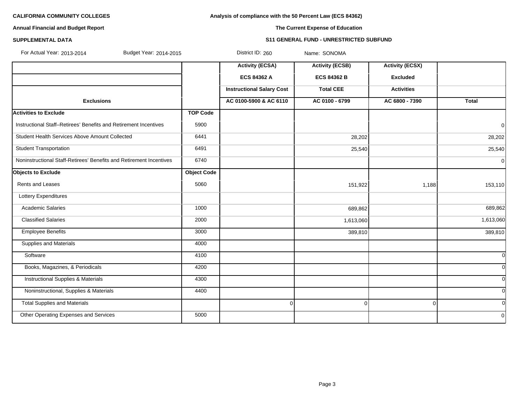**Analysis of compliance with the 50 Percent Law (ECS 84362)**

# **Annual Financial and Budget Report**

# **The Current Expense of Education**

### **SUPPLEMENTAL DATA S11 GENERAL FUND - UNRESTRICTED SUBFUND**

| For Actual Year: 2013-2014<br>Budget Year: 2014-2015                |                    | District ID: 260                 | Name: SONOMA           |                        |                |
|---------------------------------------------------------------------|--------------------|----------------------------------|------------------------|------------------------|----------------|
|                                                                     |                    | <b>Activity (ECSA)</b>           | <b>Activity (ECSB)</b> | <b>Activity (ECSX)</b> |                |
|                                                                     |                    | <b>ECS 84362 A</b>               | <b>ECS 84362 B</b>     | <b>Excluded</b>        |                |
|                                                                     |                    | <b>Instructional Salary Cost</b> | <b>Total CEE</b>       | <b>Activities</b>      |                |
| <b>Exclusions</b>                                                   |                    | AC 0100-5900 & AC 6110           | AC 0100 - 6799         | AC 6800 - 7390         | Total          |
| <b>Activities to Exclude</b>                                        | <b>TOP Code</b>    |                                  |                        |                        |                |
| Instructional Staff-Retirees' Benefits and Retirement Incentives    | 5900               |                                  |                        |                        | $\overline{0}$ |
| Student Health Services Above Amount Collected                      | 6441               |                                  | 28,202                 |                        | 28,202         |
| <b>Student Transportation</b>                                       | 6491               |                                  | 25,540                 |                        | 25,540         |
| Noninstructional Staff-Retirees' Benefits and Retirement Incentives | 6740               |                                  |                        |                        | 0              |
| <b>Objects to Exclude</b>                                           | <b>Object Code</b> |                                  |                        |                        |                |
| Rents and Leases                                                    | 5060               |                                  | 151,922                | 1,188                  | 153,110        |
| Lottery Expenditures                                                |                    |                                  |                        |                        |                |
| <b>Academic Salaries</b>                                            | 1000               |                                  | 689,862                |                        | 689,862        |
| <b>Classified Salaries</b>                                          | 2000               |                                  | 1,613,060              |                        | 1,613,060      |
| <b>Employee Benefits</b>                                            | 3000               |                                  | 389,810                |                        | 389,810        |
| Supplies and Materials                                              | 4000               |                                  |                        |                        |                |
| Software                                                            | 4100               |                                  |                        |                        | 0l             |
| Books, Magazines, & Periodicals                                     | 4200               |                                  |                        |                        | <sub>0</sub>   |
| <b>Instructional Supplies &amp; Materials</b>                       | 4300               |                                  |                        |                        | <sub>0</sub>   |
| Noninstructional, Supplies & Materials                              | 4400               |                                  |                        |                        | 0l             |
| <b>Total Supplies and Materials</b>                                 |                    | $\Omega$                         | $\overline{0}$         | $\Omega$               | 0l             |
| Other Operating Expenses and Services                               | 5000               |                                  |                        |                        | $\Omega$       |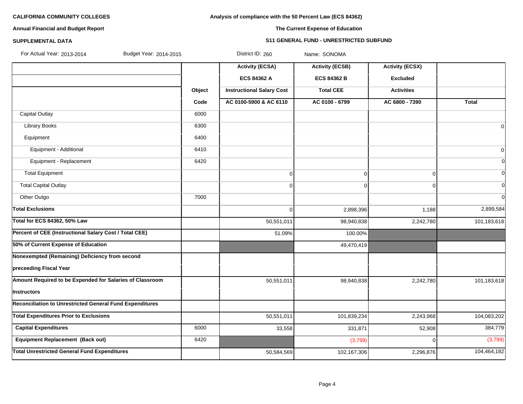## **Analysis of compliance with the 50 Percent Law (ECS 84362)**

# **Annual Financial and Budget Report**

# **The Current Expense of Education**

### **SUPPLEMENTAL DATA S11 GENERAL FUND - UNRESTRICTED SUBFUND**

| For Actual Year: 2013-2014<br>Budget Year: 2014-2015     |        | District ID: 260                 | Name: SONOMA           |                        |                |
|----------------------------------------------------------|--------|----------------------------------|------------------------|------------------------|----------------|
|                                                          |        | <b>Activity (ECSA)</b>           | <b>Activity (ECSB)</b> | <b>Activity (ECSX)</b> |                |
|                                                          |        | ECS 84362 A                      | <b>ECS 84362 B</b>     | <b>Excluded</b>        |                |
|                                                          | Object | <b>Instructional Salary Cost</b> | <b>Total CEE</b>       | <b>Activities</b>      |                |
|                                                          | Code   | AC 0100-5900 & AC 6110           | AC 0100 - 6799         | AC 6800 - 7390         | <b>Total</b>   |
| <b>Capital Outlay</b>                                    | 6000   |                                  |                        |                        |                |
| <b>Library Books</b>                                     | 6300   |                                  |                        |                        | $\overline{0}$ |
| Equipment                                                | 6400   |                                  |                        |                        |                |
| Equipment - Additional                                   | 6410   |                                  |                        |                        | $\overline{0}$ |
| Equipment - Replacement                                  | 6420   |                                  |                        |                        | $\Omega$       |
| <b>Total Equipment</b>                                   |        | $\mathbf 0$                      | 0                      | $\Omega$               | $\Omega$       |
| <b>Total Capital Outlay</b>                              |        | $\mathbf 0$                      | 0                      | $\Omega$               | $\Omega$       |
| Other Outgo                                              | 7000   |                                  |                        |                        | $\Omega$       |
| <b>Total Exclusions</b>                                  |        | $\mathbf 0$                      | 2,898,396              | 1,188                  | 2,899,584      |
| <b>Total for ECS 84362, 50% Law</b>                      |        | 50,551,011                       | 98,940,838             | 2,242,780              | 101,183,618    |
| Percent of CEE (Instructional Salary Cost / Total CEE)   |        | 51.09%                           | 100.00%                |                        |                |
| 50% of Current Expense of Education                      |        |                                  | 49,470,419             |                        |                |
| Nonexempted (Remaining) Deficiency from second           |        |                                  |                        |                        |                |
| preceeding Fiscal Year                                   |        |                                  |                        |                        |                |
| Amount Required to be Expended for Salaries of Classroom |        | 50,551,011                       | 98,940,838             | 2,242,780              | 101,183,618    |
| Instructors                                              |        |                                  |                        |                        |                |
| Reconciliation to Unrestricted General Fund Expenditures |        |                                  |                        |                        |                |
| <b>Total Expenditures Prior to Exclusions</b>            |        | 50,551,011                       | 101,839,234            | 2,243,968              | 104,083,202    |
| <b>Capital Expenditures</b>                              | 6000   | 33,558                           | 331,871                | 52,908                 | 384,779        |
| <b>Equipment Replacement (Back out)</b>                  | 6420   |                                  | (3,799)                | $\Omega$               | (3,799)        |
| <b>Total Unrestricted General Fund Expenditures</b>      |        | 50,584,569                       | 102,167,306            | 2,296,876              | 104,464,182    |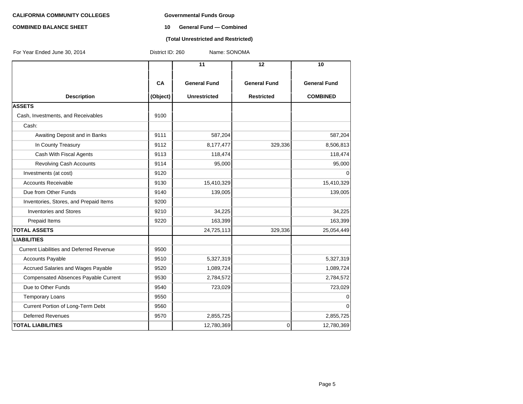#### **COMBINED BALANCE SHEET 10 General Fund — Combined**

### **(Total Unrestricted and Restricted)**

| For Year Ended June 30, 2014                    | District ID: 260 | Name: SONOMA        |                     |                     |
|-------------------------------------------------|------------------|---------------------|---------------------|---------------------|
|                                                 |                  | 11                  | 12                  | 10                  |
|                                                 | CA               | <b>General Fund</b> | <b>General Fund</b> | <b>General Fund</b> |
| <b>Description</b>                              | (Object)         | <b>Unrestricted</b> | <b>Restricted</b>   | <b>COMBINED</b>     |
| <b>ASSETS</b>                                   |                  |                     |                     |                     |
| Cash, Investments, and Receivables              | 9100             |                     |                     |                     |
| Cash:                                           |                  |                     |                     |                     |
| Awaiting Deposit and in Banks                   | 9111             | 587,204             |                     | 587,204             |
| In County Treasury                              | 9112             | 8,177,477           | 329,336             | 8,506,813           |
| Cash With Fiscal Agents                         | 9113             | 118,474             |                     | 118,474             |
| <b>Revolving Cash Accounts</b>                  | 9114             | 95,000              |                     | 95,000              |
| Investments (at cost)                           | 9120             |                     |                     | 0                   |
| <b>Accounts Receivable</b>                      | 9130             | 15,410,329          |                     | 15,410,329          |
| Due from Other Funds                            | 9140             | 139,005             |                     | 139,005             |
| Inventories, Stores, and Prepaid Items          | 9200             |                     |                     |                     |
| <b>Inventories and Stores</b>                   | 9210             | 34,225              |                     | 34,225              |
| Prepaid Items                                   | 9220             | 163,399             |                     | 163,399             |
| <b>TOTAL ASSETS</b>                             |                  | 24,725,113          | 329,336             | 25,054,449          |
| <b>LIABILITIES</b>                              |                  |                     |                     |                     |
| <b>Current Liabilities and Deferred Revenue</b> | 9500             |                     |                     |                     |
| <b>Accounts Payable</b>                         | 9510             | 5,327,319           |                     | 5,327,319           |
| Accrued Salaries and Wages Payable              | 9520             | 1,089,724           |                     | 1,089,724           |
| <b>Compensated Absences Payable Current</b>     | 9530             | 2,784,572           |                     | 2,784,572           |
| Due to Other Funds                              | 9540             | 723,029             |                     | 723,029             |
| <b>Temporary Loans</b>                          | 9550             |                     |                     | 0                   |
| Current Portion of Long-Term Debt               | 9560             |                     |                     | $\Omega$            |
| <b>Deferred Revenues</b>                        | 9570             | 2,855,725           |                     | 2,855,725           |
| <b>TOTAL LIABILITIES</b>                        |                  | 12,780,369          | 0                   | 12,780,369          |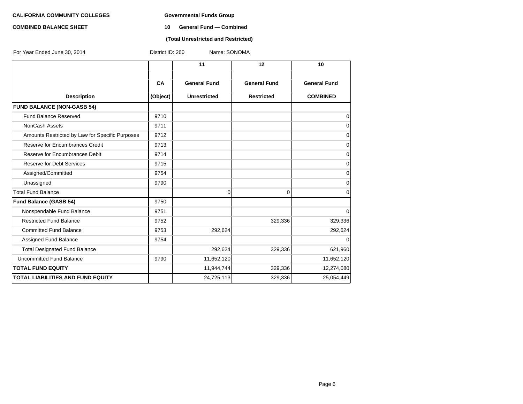#### **COMBINED BALANCE SHEET 10 General Fund — Combined**

### **(Total Unrestricted and Restricted)**

| For Year Ended June 30, 2014                    | District ID: 260 | Name: SONOMA        |                     |                     |
|-------------------------------------------------|------------------|---------------------|---------------------|---------------------|
|                                                 |                  | 11                  | $12 \overline{ }$   | 10                  |
|                                                 | CA               | <b>General Fund</b> | <b>General Fund</b> | <b>General Fund</b> |
| <b>Description</b>                              | (Object)         | <b>Unrestricted</b> | <b>Restricted</b>   | <b>COMBINED</b>     |
| <b>FUND BALANCE (NON-GASB 54)</b>               |                  |                     |                     |                     |
| <b>Fund Balance Reserved</b>                    | 9710             |                     |                     | 0                   |
| <b>NonCash Assets</b>                           | 9711             |                     |                     | 0                   |
| Amounts Restricted by Law for Specific Purposes | 9712             |                     |                     | 0                   |
| Reserve for Encumbrances Credit                 | 9713             |                     |                     | 0                   |
| Reserve for Encumbrances Debit                  | 9714             |                     |                     | 0                   |
| <b>Reserve for Debt Services</b>                | 9715             |                     |                     | 0                   |
| Assigned/Committed                              | 9754             |                     |                     | 0                   |
| Unassigned                                      | 9790             |                     |                     | 0                   |
| <b>Total Fund Balance</b>                       |                  | 0                   | 0                   | 0                   |
| <b>Fund Balance (GASB 54)</b>                   | 9750             |                     |                     |                     |
| Nonspendable Fund Balance                       | 9751             |                     |                     | 0                   |
| <b>Restricted Fund Balance</b>                  | 9752             |                     | 329,336             | 329,336             |
| <b>Committed Fund Balance</b>                   | 9753             | 292,624             |                     | 292,624             |
| Assigned Fund Balance                           | 9754             |                     |                     | $\Omega$            |
| <b>Total Designated Fund Balance</b>            |                  | 292,624             | 329,336             | 621,960             |
| Uncommitted Fund Balance                        | 9790             | 11,652,120          |                     | 11,652,120          |
| <b>TOTAL FUND EQUITY</b>                        |                  | 11,944,744          | 329,336             | 12,274,080          |
| <b>TOTAL LIABILITIES AND FUND EQUITY</b>        |                  | 24,725,113          | 329,336             | 25,054,449          |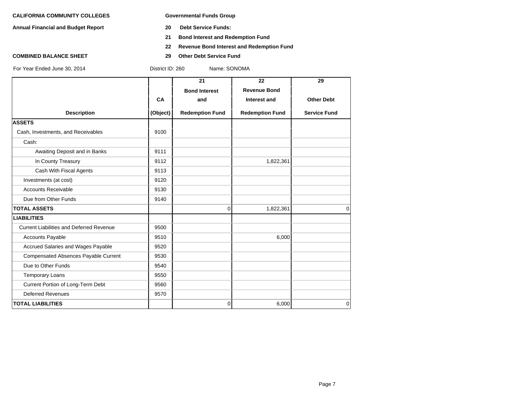**Annual Financial and Budget Report 20 Debt Service Funds:**

- 
- **21 Bond Interest and Redemption Fund**
- **22 Revenue Bond Interest and Redemption Fund**
- 
- **COMBINED BALANCE SHEET 29 Other Debt Service Fund**

District ID: 260 Name: SONOMA

|                                                 |          | 21                     | 22                     | 29                  |
|-------------------------------------------------|----------|------------------------|------------------------|---------------------|
|                                                 |          | <b>Bond Interest</b>   | <b>Revenue Bond</b>    |                     |
|                                                 | CA       | and                    | Interest and           | <b>Other Debt</b>   |
| <b>Description</b>                              | (Object) | <b>Redemption Fund</b> | <b>Redemption Fund</b> | <b>Service Fund</b> |
| <b>ASSETS</b>                                   |          |                        |                        |                     |
| Cash, Investments, and Receivables              | 9100     |                        |                        |                     |
| Cash:                                           |          |                        |                        |                     |
| Awaiting Deposit and in Banks                   | 9111     |                        |                        |                     |
| In County Treasury                              | 9112     |                        | 1,822,361              |                     |
| Cash With Fiscal Agents                         | 9113     |                        |                        |                     |
| Investments (at cost)                           | 9120     |                        |                        |                     |
| <b>Accounts Receivable</b>                      | 9130     |                        |                        |                     |
| Due from Other Funds                            | 9140     |                        |                        |                     |
| <b>TOTAL ASSETS</b>                             |          | $\Omega$               | 1,822,361              | $\Omega$            |
| <b>LIABILITIES</b>                              |          |                        |                        |                     |
| <b>Current Liabilities and Deferred Revenue</b> | 9500     |                        |                        |                     |
| <b>Accounts Payable</b>                         | 9510     |                        | 6,000                  |                     |
| Accrued Salaries and Wages Payable              | 9520     |                        |                        |                     |
| <b>Compensated Absences Payable Current</b>     | 9530     |                        |                        |                     |
| Due to Other Funds                              | 9540     |                        |                        |                     |
| <b>Temporary Loans</b>                          | 9550     |                        |                        |                     |
| Current Portion of Long-Term Debt               | 9560     |                        |                        |                     |
| <b>Deferred Revenues</b>                        | 9570     |                        |                        |                     |
| <b>TOTAL LIABILITIES</b>                        |          | $\overline{0}$         | 6,000                  | $\overline{0}$      |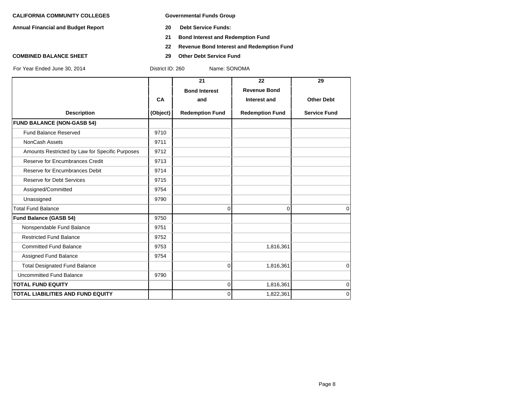**Annual Financial and Budget Report 20 Debt Service Funds:**

- 
- **21 Bond Interest and Redemption Fund**
- **22 Revenue Bond Interest and Redemption Fund**
- **COMBINED BALANCE SHEET 29 Other Debt Service Fund**

|                                                 |          | 21                     | 22                     | 29                  |
|-------------------------------------------------|----------|------------------------|------------------------|---------------------|
|                                                 |          | <b>Bond Interest</b>   | <b>Revenue Bond</b>    |                     |
|                                                 | CA       | and                    | Interest and           | <b>Other Debt</b>   |
| <b>Description</b>                              | (Object) | <b>Redemption Fund</b> | <b>Redemption Fund</b> | <b>Service Fund</b> |
| <b>FUND BALANCE (NON-GASB 54)</b>               |          |                        |                        |                     |
| Fund Balance Reserved                           | 9710     |                        |                        |                     |
| NonCash Assets                                  | 9711     |                        |                        |                     |
| Amounts Restricted by Law for Specific Purposes | 9712     |                        |                        |                     |
| Reserve for Encumbrances Credit                 | 9713     |                        |                        |                     |
| Reserve for Encumbrances Debit                  | 9714     |                        |                        |                     |
| <b>Reserve for Debt Services</b>                | 9715     |                        |                        |                     |
| Assigned/Committed                              | 9754     |                        |                        |                     |
| Unassigned                                      | 9790     |                        |                        |                     |
| <b>Total Fund Balance</b>                       |          | $\Omega$               | 0                      | $\mathbf 0$         |
| <b>Fund Balance (GASB 54)</b>                   | 9750     |                        |                        |                     |
| Nonspendable Fund Balance                       | 9751     |                        |                        |                     |
| <b>Restricted Fund Balance</b>                  | 9752     |                        |                        |                     |
| <b>Committed Fund Balance</b>                   | 9753     |                        | 1,816,361              |                     |
| Assigned Fund Balance                           | 9754     |                        |                        |                     |
| <b>Total Designated Fund Balance</b>            |          | $\Omega$               | 1,816,361              | $\mathbf 0$         |
| <b>Uncommitted Fund Balance</b>                 | 9790     |                        |                        |                     |
| <b>TOTAL FUND EQUITY</b>                        |          | 0                      | 1,816,361              | $\mathbf 0$         |
| <b>TOTAL LIABILITIES AND FUND EQUITY</b>        |          | $\Omega$               | 1,822,361              | $\mathbf 0$         |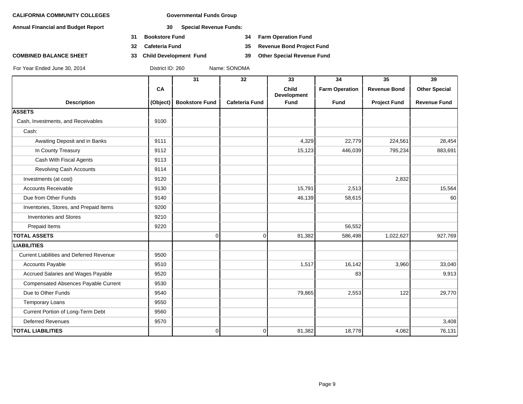**Annual Financial and Budget Report 30 Special Revenue Funds:**

- **31 Bookstore Fund 34 Farm Operation Fund**
- 
- **COMBINED BALANCE SHEET 33 Child Development Fund 39 Other Special Revenue Fund**

**32 Cafeteria Fund 35 Revenue Bond Project Fund**

|                                                 |          | 31                    | 32                    | 33                   | 34                    | 35                  | 39                   |
|-------------------------------------------------|----------|-----------------------|-----------------------|----------------------|-----------------------|---------------------|----------------------|
|                                                 | CA       |                       |                       | Child<br>Development | <b>Farm Operation</b> | <b>Revenue Bond</b> | <b>Other Special</b> |
| <b>Description</b>                              | (Object) | <b>Bookstore Fund</b> | <b>Cafeteria Fund</b> | <b>Fund</b>          | <b>Fund</b>           | <b>Project Fund</b> | <b>Revenue Fund</b>  |
| <b>ASSETS</b>                                   |          |                       |                       |                      |                       |                     |                      |
| Cash, Investments, and Receivables              | 9100     |                       |                       |                      |                       |                     |                      |
| Cash:                                           |          |                       |                       |                      |                       |                     |                      |
| Awaiting Deposit and in Banks                   | 9111     |                       |                       | 4,329                | 22,779                | 224,561             | 28,454               |
| In County Treasury                              | 9112     |                       |                       | 15,123               | 446,039               | 795,234             | 883,691              |
| Cash With Fiscal Agents                         | 9113     |                       |                       |                      |                       |                     |                      |
| Revolving Cash Accounts                         | 9114     |                       |                       |                      |                       |                     |                      |
| Investments (at cost)                           | 9120     |                       |                       |                      |                       | 2,832               |                      |
| <b>Accounts Receivable</b>                      | 9130     |                       |                       | 15,791               | 2,513                 |                     | 15,564               |
| Due from Other Funds                            | 9140     |                       |                       | 46,139               | 58,615                |                     | 60                   |
| Inventories, Stores, and Prepaid Items          | 9200     |                       |                       |                      |                       |                     |                      |
| <b>Inventories and Stores</b>                   | 9210     |                       |                       |                      |                       |                     |                      |
| Prepaid Items                                   | 9220     |                       |                       |                      | 56,552                |                     |                      |
| <b>TOTAL ASSETS</b>                             |          | $\overline{0}$        | $\overline{0}$        | 81,382               | 586,498               | 1,022,627           | 927,769              |
| <b>LIABILITIES</b>                              |          |                       |                       |                      |                       |                     |                      |
| <b>Current Liabilities and Deferred Revenue</b> | 9500     |                       |                       |                      |                       |                     |                      |
| <b>Accounts Payable</b>                         | 9510     |                       |                       | 1,517                | 16, 142               | 3,960               | 33,040               |
| Accrued Salaries and Wages Payable              | 9520     |                       |                       |                      | 83                    |                     | 9,913                |
| <b>Compensated Absences Payable Current</b>     | 9530     |                       |                       |                      |                       |                     |                      |
| Due to Other Funds                              | 9540     |                       |                       | 79,865               | 2,553                 | 122                 | 29,770               |
| <b>Temporary Loans</b>                          | 9550     |                       |                       |                      |                       |                     |                      |
| Current Portion of Long-Term Debt               | 9560     |                       |                       |                      |                       |                     |                      |
| <b>Deferred Revenues</b>                        | 9570     |                       |                       |                      |                       |                     | 3,408                |
| <b>TOTAL LIABILITIES</b>                        |          | $\overline{0}$        | $\overline{0}$        | 81,382               | 18,778                | 4,082               | 76,131               |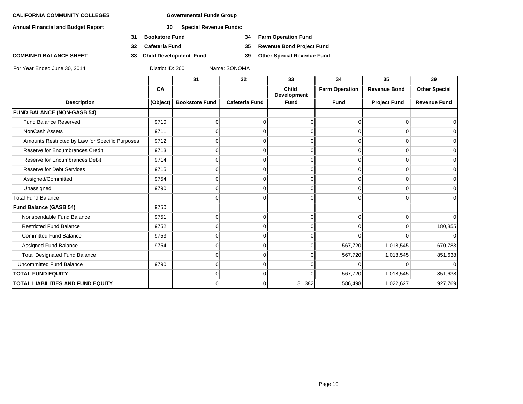**Annual Financial and Budget Report 30 Special Revenue Funds:**

- **31 Bookstore Fund 34 Farm Operation Fund**
- **32 Cafeteria Fund 35 Revenue Bond Project Fund**
- **COMBINED BALANCE SHEET 33 Child Development Fund 39 Other Special Revenue Fund**

|                                                 |          | 31                    | 32                    | 33                                 | 34                    | 35                  | 39                   |
|-------------------------------------------------|----------|-----------------------|-----------------------|------------------------------------|-----------------------|---------------------|----------------------|
|                                                 | CA       |                       |                       | <b>Child</b><br><b>Development</b> | <b>Farm Operation</b> | <b>Revenue Bond</b> | <b>Other Special</b> |
| <b>Description</b>                              | (Object) | <b>Bookstore Fund</b> | <b>Cafeteria Fund</b> | <b>Fund</b>                        | <b>Fund</b>           | <b>Project Fund</b> | <b>Revenue Fund</b>  |
| <b>FUND BALANCE (NON-GASB 54)</b>               |          |                       |                       |                                    |                       |                     |                      |
| Fund Balance Reserved                           | 9710     |                       | $\Omega$              | 0                                  |                       | U                   |                      |
| NonCash Assets                                  | 9711     |                       | $\Omega$              | $\Omega$                           |                       | O                   |                      |
| Amounts Restricted by Law for Specific Purposes | 9712     | n                     | $\Omega$              | $\Omega$                           | n                     | 0                   | ∩                    |
| Reserve for Encumbrances Credit                 | 9713     | ∩                     | $\Omega$              | $\Omega$                           | <sup>0</sup>          | $\Omega$            |                      |
| Reserve for Encumbrances Debit                  | 9714     |                       | $\Omega$              | $\Omega$                           |                       | 0                   | $\Omega$             |
| Reserve for Debt Services                       | 9715     | <sup>0</sup>          | $\Omega$              | $\Omega$                           | O                     | 0                   | ∩                    |
| Assigned/Committed                              | 9754     |                       | $\Omega$              | $\Omega$                           | <sup>0</sup>          | $\Omega$            |                      |
| Unassigned                                      | 9790     |                       | $\Omega$              | 0                                  |                       | ∩                   | $\Omega$             |
| <b>Total Fund Balance</b>                       |          | 0                     | $\Omega$              | $\Omega$                           | 0                     | $\Omega$            | $\Omega$             |
| Fund Balance (GASB 54)                          | 9750     |                       |                       |                                    |                       |                     |                      |
| Nonspendable Fund Balance                       | 9751     | n                     | $\Omega$              | $\Omega$                           |                       | $\Omega$            | ∩                    |
| <b>Restricted Fund Balance</b>                  | 9752     | <sup>0</sup>          | $\Omega$              | $\Omega$                           |                       | $\Omega$            | 180,855              |
| <b>Committed Fund Balance</b>                   | 9753     | ∩                     | $\Omega$              | $\Omega$                           |                       | U                   | $\Omega$             |
| Assigned Fund Balance                           | 9754     |                       | $\Omega$              | 0                                  | 567,720               | 1,018,545           | 670,783              |
| <b>Total Designated Fund Balance</b>            |          |                       | $\Omega$              | $\Omega$                           | 567,720               | 1,018,545           | 851,638              |
| <b>Uncommitted Fund Balance</b>                 | 9790     | <sup>n</sup>          | $\Omega$              | U                                  |                       | <sup>0</sup>        |                      |
| <b>TOTAL FUND EQUITY</b>                        |          |                       | $\Omega$              |                                    | 567,720               | 1,018,545           | 851,638              |
| TOTAL LIABILITIES AND FUND EQUITY               |          | $\Omega$              | $\Omega$              | 81,382                             | 586,498               | 1,022,627           | 927,769              |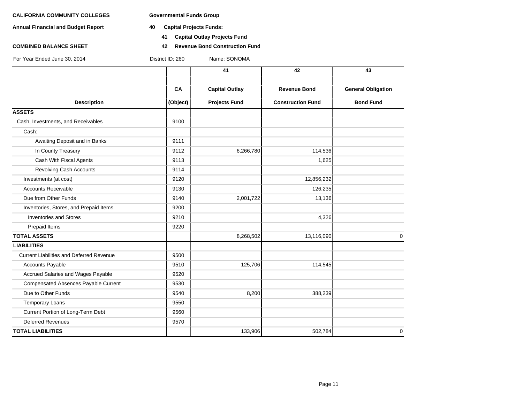**Annual Financial and Budget Report 40 Capital Projects Funds:**

- - **41 Capital Outlay Projects Fund**
- **COMBINED BALANCE SHEET 42 Revenue Bond Construction Fund**

|                                                 |                | 41                                            | 42                                              | 43                                            |
|-------------------------------------------------|----------------|-----------------------------------------------|-------------------------------------------------|-----------------------------------------------|
| <b>Description</b>                              | CA<br>(Object) | <b>Capital Outlay</b><br><b>Projects Fund</b> | <b>Revenue Bond</b><br><b>Construction Fund</b> | <b>General Obligation</b><br><b>Bond Fund</b> |
| <b>ASSETS</b>                                   |                |                                               |                                                 |                                               |
| Cash, Investments, and Receivables              | 9100           |                                               |                                                 |                                               |
| Cash:                                           |                |                                               |                                                 |                                               |
| Awaiting Deposit and in Banks                   | 9111           |                                               |                                                 |                                               |
| In County Treasury                              | 9112           | 6,266,780                                     | 114,536                                         |                                               |
| Cash With Fiscal Agents                         | 9113           |                                               | 1,625                                           |                                               |
| <b>Revolving Cash Accounts</b>                  | 9114           |                                               |                                                 |                                               |
| Investments (at cost)                           | 9120           |                                               | 12,856,232                                      |                                               |
| <b>Accounts Receivable</b>                      | 9130           |                                               | 126,235                                         |                                               |
| Due from Other Funds                            | 9140           | 2,001,722                                     | 13,136                                          |                                               |
| Inventories, Stores, and Prepaid Items          | 9200           |                                               |                                                 |                                               |
| <b>Inventories and Stores</b>                   | 9210           |                                               | 4,326                                           |                                               |
| Prepaid Items                                   | 9220           |                                               |                                                 |                                               |
| <b>TOTAL ASSETS</b>                             |                | 8,268,502                                     | 13,116,090                                      | $\Omega$                                      |
| <b>LIABILITIES</b>                              |                |                                               |                                                 |                                               |
| <b>Current Liabilities and Deferred Revenue</b> | 9500           |                                               |                                                 |                                               |
| <b>Accounts Payable</b>                         | 9510           | 125,706                                       | 114,545                                         |                                               |
| Accrued Salaries and Wages Payable              | 9520           |                                               |                                                 |                                               |
| Compensated Absences Payable Current            | 9530           |                                               |                                                 |                                               |
| Due to Other Funds                              | 9540           | 8,200                                         | 388,239                                         |                                               |
| <b>Temporary Loans</b>                          | 9550           |                                               |                                                 |                                               |
| Current Portion of Long-Term Debt               | 9560           |                                               |                                                 |                                               |
| <b>Deferred Revenues</b>                        | 9570           |                                               |                                                 |                                               |
| <b>TOTAL LIABILITIES</b>                        |                | 133,906                                       | 502,784                                         | $\mathbf 0$                                   |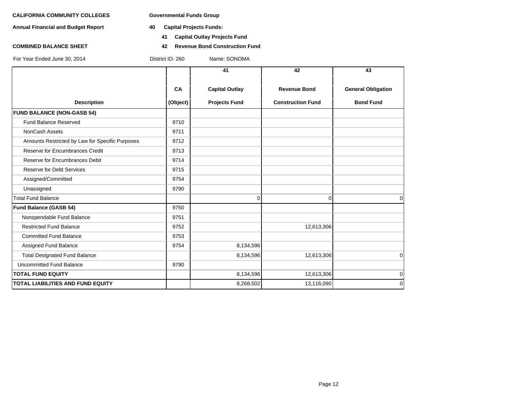**Annual Financial and Budget Report 40 Capital Projects Funds:**

- - **41 Capital Outlay Projects Fund**
- **COMBINED BALANCE SHEET 42 Revenue Bond Construction Fund**

|                                                 |                | 41                                            | 42                                              | 43                                            |
|-------------------------------------------------|----------------|-----------------------------------------------|-------------------------------------------------|-----------------------------------------------|
| <b>Description</b>                              | CA<br>(Object) | <b>Capital Outlay</b><br><b>Projects Fund</b> | <b>Revenue Bond</b><br><b>Construction Fund</b> | <b>General Obligation</b><br><b>Bond Fund</b> |
| <b>FUND BALANCE (NON-GASB 54)</b>               |                |                                               |                                                 |                                               |
| <b>Fund Balance Reserved</b>                    | 9710           |                                               |                                                 |                                               |
| NonCash Assets                                  | 9711           |                                               |                                                 |                                               |
| Amounts Restricted by Law for Specific Purposes | 9712           |                                               |                                                 |                                               |
| Reserve for Encumbrances Credit                 | 9713           |                                               |                                                 |                                               |
| Reserve for Encumbrances Debit                  | 9714           |                                               |                                                 |                                               |
| <b>Reserve for Debt Services</b>                | 9715           |                                               |                                                 |                                               |
| Assigned/Committed                              | 9754           |                                               |                                                 |                                               |
| Unassigned                                      | 9790           |                                               |                                                 |                                               |
| <b>Total Fund Balance</b>                       |                | $\Omega$                                      | $\Omega$                                        | $\Omega$                                      |
| Fund Balance (GASB 54)                          | 9750           |                                               |                                                 |                                               |
| Nonspendable Fund Balance                       | 9751           |                                               |                                                 |                                               |
| <b>Restricted Fund Balance</b>                  | 9752           |                                               | 12,613,306                                      |                                               |
| <b>Committed Fund Balance</b>                   | 9753           |                                               |                                                 |                                               |
| Assigned Fund Balance                           | 9754           | 8,134,596                                     |                                                 |                                               |
| <b>Total Designated Fund Balance</b>            |                | 8,134,596                                     | 12,613,306                                      | $\mathbf 0$                                   |
| <b>Uncommitted Fund Balance</b>                 | 9790           |                                               |                                                 |                                               |
| <b>TOTAL FUND EQUITY</b>                        |                | 8,134,596                                     | 12,613,306                                      | $\mathbf 0$                                   |
| <b>TOTAL LIABILITIES AND FUND EQUITY</b>        |                | 8,268,502                                     | 13,116,090                                      | $\mathbf 0$                                   |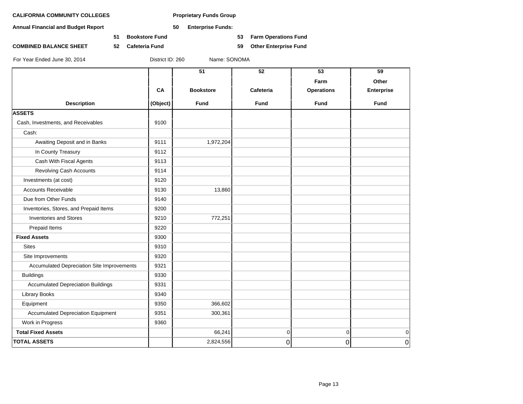**Annual Financial and Budget Report 50 Enterprise Funds:**

**51 Bookstore Fund 53 Farm Operations Fund**

**COMBINED BALANCE SHEET 52 Cafeteria Fund 59 Other Enterprise Fund**

| Farm<br>CA<br><b>Bookstore</b><br>Cafeteria<br><b>Operations</b><br><b>Description</b><br>Fund<br>(Object)<br><b>Fund</b><br><b>Fund</b><br><b>ASSETS</b><br>Cash, Investments, and Receivables<br>9100<br>Cash:<br>Awaiting Deposit and in Banks<br>1,972,204<br>9111<br>In County Treasury<br>9112<br>Cash With Fiscal Agents<br>9113<br><b>Revolving Cash Accounts</b><br>9114<br>Investments (at cost)<br>9120<br><b>Accounts Receivable</b><br>9130<br>13,860<br>Due from Other Funds<br>9140<br>Inventories, Stores, and Prepaid Items<br>9200<br><b>Inventories and Stores</b><br>9210<br>772,251<br>Prepaid Items<br>9220<br><b>Fixed Assets</b><br>9300<br><b>Sites</b><br>9310<br>9320<br>Site Improvements<br>Accumulated Depreciation Site Improvements<br>9321<br><b>Buildings</b><br>9330<br><b>Accumulated Depreciation Buildings</b><br>9331<br>Library Books<br>9340<br>Equipment<br>9350<br>366,602<br><b>Accumulated Depreciation Equipment</b><br>300,361<br>9351<br>Work in Progress<br>9360 | 59                | 53 | 52          | 51     |                           |
|-------------------------------------------------------------------------------------------------------------------------------------------------------------------------------------------------------------------------------------------------------------------------------------------------------------------------------------------------------------------------------------------------------------------------------------------------------------------------------------------------------------------------------------------------------------------------------------------------------------------------------------------------------------------------------------------------------------------------------------------------------------------------------------------------------------------------------------------------------------------------------------------------------------------------------------------------------------------------------------------------------------------|-------------------|----|-------------|--------|---------------------------|
|                                                                                                                                                                                                                                                                                                                                                                                                                                                                                                                                                                                                                                                                                                                                                                                                                                                                                                                                                                                                                   | Other             |    |             |        |                           |
|                                                                                                                                                                                                                                                                                                                                                                                                                                                                                                                                                                                                                                                                                                                                                                                                                                                                                                                                                                                                                   | <b>Enterprise</b> |    |             |        |                           |
|                                                                                                                                                                                                                                                                                                                                                                                                                                                                                                                                                                                                                                                                                                                                                                                                                                                                                                                                                                                                                   | Fund              |    |             |        |                           |
|                                                                                                                                                                                                                                                                                                                                                                                                                                                                                                                                                                                                                                                                                                                                                                                                                                                                                                                                                                                                                   |                   |    |             |        |                           |
|                                                                                                                                                                                                                                                                                                                                                                                                                                                                                                                                                                                                                                                                                                                                                                                                                                                                                                                                                                                                                   |                   |    |             |        |                           |
|                                                                                                                                                                                                                                                                                                                                                                                                                                                                                                                                                                                                                                                                                                                                                                                                                                                                                                                                                                                                                   |                   |    |             |        |                           |
|                                                                                                                                                                                                                                                                                                                                                                                                                                                                                                                                                                                                                                                                                                                                                                                                                                                                                                                                                                                                                   |                   |    |             |        |                           |
|                                                                                                                                                                                                                                                                                                                                                                                                                                                                                                                                                                                                                                                                                                                                                                                                                                                                                                                                                                                                                   |                   |    |             |        |                           |
|                                                                                                                                                                                                                                                                                                                                                                                                                                                                                                                                                                                                                                                                                                                                                                                                                                                                                                                                                                                                                   |                   |    |             |        |                           |
|                                                                                                                                                                                                                                                                                                                                                                                                                                                                                                                                                                                                                                                                                                                                                                                                                                                                                                                                                                                                                   |                   |    |             |        |                           |
|                                                                                                                                                                                                                                                                                                                                                                                                                                                                                                                                                                                                                                                                                                                                                                                                                                                                                                                                                                                                                   |                   |    |             |        |                           |
|                                                                                                                                                                                                                                                                                                                                                                                                                                                                                                                                                                                                                                                                                                                                                                                                                                                                                                                                                                                                                   |                   |    |             |        |                           |
|                                                                                                                                                                                                                                                                                                                                                                                                                                                                                                                                                                                                                                                                                                                                                                                                                                                                                                                                                                                                                   |                   |    |             |        |                           |
|                                                                                                                                                                                                                                                                                                                                                                                                                                                                                                                                                                                                                                                                                                                                                                                                                                                                                                                                                                                                                   |                   |    |             |        |                           |
|                                                                                                                                                                                                                                                                                                                                                                                                                                                                                                                                                                                                                                                                                                                                                                                                                                                                                                                                                                                                                   |                   |    |             |        |                           |
|                                                                                                                                                                                                                                                                                                                                                                                                                                                                                                                                                                                                                                                                                                                                                                                                                                                                                                                                                                                                                   |                   |    |             |        |                           |
|                                                                                                                                                                                                                                                                                                                                                                                                                                                                                                                                                                                                                                                                                                                                                                                                                                                                                                                                                                                                                   |                   |    |             |        |                           |
|                                                                                                                                                                                                                                                                                                                                                                                                                                                                                                                                                                                                                                                                                                                                                                                                                                                                                                                                                                                                                   |                   |    |             |        |                           |
|                                                                                                                                                                                                                                                                                                                                                                                                                                                                                                                                                                                                                                                                                                                                                                                                                                                                                                                                                                                                                   |                   |    |             |        |                           |
|                                                                                                                                                                                                                                                                                                                                                                                                                                                                                                                                                                                                                                                                                                                                                                                                                                                                                                                                                                                                                   |                   |    |             |        |                           |
|                                                                                                                                                                                                                                                                                                                                                                                                                                                                                                                                                                                                                                                                                                                                                                                                                                                                                                                                                                                                                   |                   |    |             |        |                           |
|                                                                                                                                                                                                                                                                                                                                                                                                                                                                                                                                                                                                                                                                                                                                                                                                                                                                                                                                                                                                                   |                   |    |             |        |                           |
|                                                                                                                                                                                                                                                                                                                                                                                                                                                                                                                                                                                                                                                                                                                                                                                                                                                                                                                                                                                                                   |                   |    |             |        |                           |
|                                                                                                                                                                                                                                                                                                                                                                                                                                                                                                                                                                                                                                                                                                                                                                                                                                                                                                                                                                                                                   |                   |    |             |        |                           |
|                                                                                                                                                                                                                                                                                                                                                                                                                                                                                                                                                                                                                                                                                                                                                                                                                                                                                                                                                                                                                   |                   |    |             |        |                           |
|                                                                                                                                                                                                                                                                                                                                                                                                                                                                                                                                                                                                                                                                                                                                                                                                                                                                                                                                                                                                                   |                   |    |             |        |                           |
|                                                                                                                                                                                                                                                                                                                                                                                                                                                                                                                                                                                                                                                                                                                                                                                                                                                                                                                                                                                                                   | $\mathbf 0$       | 0  | $\mathbf 0$ | 66,241 | <b>Total Fixed Assets</b> |
| <b>TOTAL ASSETS</b><br>2,824,556<br>0<br>0                                                                                                                                                                                                                                                                                                                                                                                                                                                                                                                                                                                                                                                                                                                                                                                                                                                                                                                                                                        | 0                 |    |             |        |                           |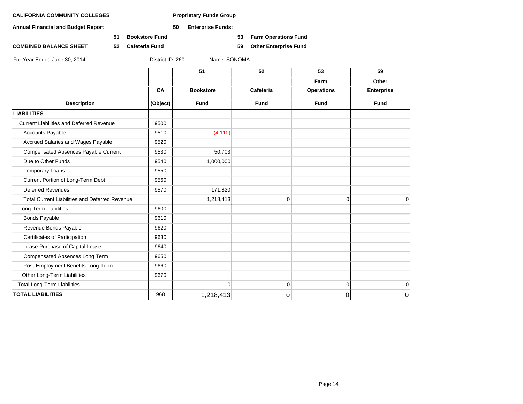**Annual Financial and Budget Report 50 Enterprise Funds:**

**51 Bookstore Fund 53 Farm Operations Fund**

**COMBINED BALANCE SHEET 52 Cafeteria Fund 59 Other Enterprise Fund**

|  |  | For Year Ended June 30, 2014 |  |  |  |
|--|--|------------------------------|--|--|--|
|--|--|------------------------------|--|--|--|

District ID: 260 Name: SONOMA

|                                                       |           | 51               | 52          | 53                | 59                |
|-------------------------------------------------------|-----------|------------------|-------------|-------------------|-------------------|
|                                                       |           |                  |             | Farm              | Other             |
|                                                       | <b>CA</b> | <b>Bookstore</b> | Cafeteria   | <b>Operations</b> | <b>Enterprise</b> |
| <b>Description</b>                                    | (Object)  | <b>Fund</b>      | <b>Fund</b> | <b>Fund</b>       | <b>Fund</b>       |
| <b>LIABILITIES</b>                                    |           |                  |             |                   |                   |
| <b>Current Liabilities and Deferred Revenue</b>       | 9500      |                  |             |                   |                   |
| <b>Accounts Payable</b>                               | 9510      | (4, 110)         |             |                   |                   |
| Accrued Salaries and Wages Payable                    | 9520      |                  |             |                   |                   |
| <b>Compensated Absences Payable Current</b>           | 9530      | 50,703           |             |                   |                   |
| Due to Other Funds                                    | 9540      | 1,000,000        |             |                   |                   |
| <b>Temporary Loans</b>                                | 9550      |                  |             |                   |                   |
| Current Portion of Long-Term Debt                     | 9560      |                  |             |                   |                   |
| <b>Deferred Revenues</b>                              | 9570      | 171,820          |             |                   |                   |
| <b>Total Current Liabilities and Deferred Revenue</b> |           | 1,218,413        | $\Omega$    | $\Omega$          | $\Omega$          |
| Long-Term Liabilities                                 | 9600      |                  |             |                   |                   |
| <b>Bonds Payable</b>                                  | 9610      |                  |             |                   |                   |
| Revenue Bonds Payable                                 | 9620      |                  |             |                   |                   |
| Certificates of Participation                         | 9630      |                  |             |                   |                   |
| Lease Purchase of Capital Lease                       | 9640      |                  |             |                   |                   |
| Compensated Absences Long Term                        | 9650      |                  |             |                   |                   |
| Post-Employment Benefits Long Term                    | 9660      |                  |             |                   |                   |
| Other Long-Term Liabilities                           | 9670      |                  |             |                   |                   |
| <b>Total Long-Term Liabilities</b>                    |           | $\Omega$         | 0           | $\mathbf 0$       | $\mathbf 0$       |
| <b>TOTAL LIABILITIES</b>                              | 968       | 1,218,413        | 0           | 0                 | 0                 |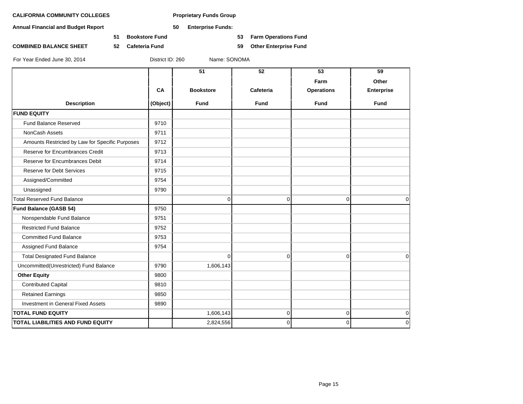**Annual Financial and Budget Report 50 Enterprise Funds:**

**51 Bookstore Fund 53 Farm Operations Fund**

**COMBINED BALANCE SHEET 52 Cafeteria Fund 59 Other Enterprise Fund**

|                                                 |          | 51               | 52          | 53                | 59                |
|-------------------------------------------------|----------|------------------|-------------|-------------------|-------------------|
|                                                 |          |                  |             | Farm              | Other             |
|                                                 | CA       | <b>Bookstore</b> | Cafeteria   | <b>Operations</b> | <b>Enterprise</b> |
| <b>Description</b>                              | (Object) | <b>Fund</b>      | <b>Fund</b> | <b>Fund</b>       | <b>Fund</b>       |
| <b>FUND EQUITY</b>                              |          |                  |             |                   |                   |
| <b>Fund Balance Reserved</b>                    | 9710     |                  |             |                   |                   |
| NonCash Assets                                  | 9711     |                  |             |                   |                   |
| Amounts Restricted by Law for Specific Purposes | 9712     |                  |             |                   |                   |
| Reserve for Encumbrances Credit                 | 9713     |                  |             |                   |                   |
| Reserve for Encumbrances Debit                  | 9714     |                  |             |                   |                   |
| <b>Reserve for Debt Services</b>                | 9715     |                  |             |                   |                   |
| Assigned/Committed                              | 9754     |                  |             |                   |                   |
| Unassigned                                      | 9790     |                  |             |                   |                   |
| <b>Total Reserved Fund Balance</b>              |          | $\mathbf 0$      | 0           | 0                 | $\mathbf 0$       |
| Fund Balance (GASB 54)                          | 9750     |                  |             |                   |                   |
| Nonspendable Fund Balance                       | 9751     |                  |             |                   |                   |
| <b>Restricted Fund Balance</b>                  | 9752     |                  |             |                   |                   |
| <b>Committed Fund Balance</b>                   | 9753     |                  |             |                   |                   |
| Assigned Fund Balance                           | 9754     |                  |             |                   |                   |
| <b>Total Designated Fund Balance</b>            |          | $\Omega$         | $\mathbf 0$ | $\Omega$          | $\Omega$          |
| Uncommitted(Unrestricted) Fund Balance          | 9790     | 1,606,143        |             |                   |                   |
| <b>Other Equity</b>                             | 9800     |                  |             |                   |                   |
| <b>Contributed Capital</b>                      | 9810     |                  |             |                   |                   |
| <b>Retained Earnings</b>                        | 9850     |                  |             |                   |                   |
| Investment in General Fixed Assets              | 9890     |                  |             |                   |                   |
| <b>TOTAL FUND EQUITY</b>                        |          | 1,606,143        | 0           | 0                 | $\mathbf 0$       |
| TOTAL LIABILITIES AND FUND EQUITY               |          | 2,824,556        | 0           | 0                 | $\mathbf 0$       |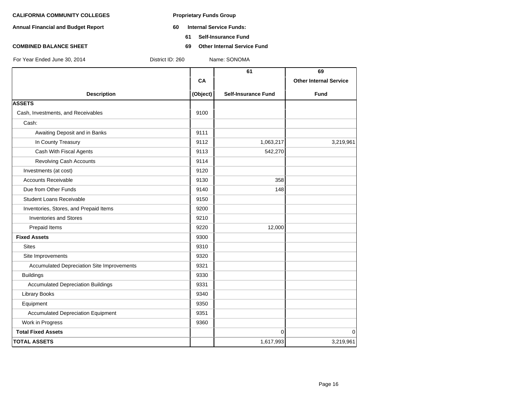- **Annual Financial and Budget Report 60 Internal Service Funds:**
	- **61 Self-Insurance Fund**
- **COMBINED BALANCE SHEET 69 Other Internal Service Fund**

|                                            |           | 61                         | 69                            |
|--------------------------------------------|-----------|----------------------------|-------------------------------|
|                                            | <b>CA</b> |                            | <b>Other Internal Service</b> |
| <b>Description</b>                         | (Object)  | <b>Self-Insurance Fund</b> | <b>Fund</b>                   |
| <b>ASSETS</b>                              |           |                            |                               |
| Cash, Investments, and Receivables         | 9100      |                            |                               |
| Cash:                                      |           |                            |                               |
| Awaiting Deposit and in Banks              | 9111      |                            |                               |
| In County Treasury                         | 9112      | 1,063,217                  | 3,219,961                     |
| Cash With Fiscal Agents                    | 9113      | 542,270                    |                               |
| Revolving Cash Accounts                    | 9114      |                            |                               |
| Investments (at cost)                      | 9120      |                            |                               |
| <b>Accounts Receivable</b>                 | 9130      | 358                        |                               |
| Due from Other Funds                       | 9140      | 148                        |                               |
| <b>Student Loans Receivable</b>            | 9150      |                            |                               |
| Inventories, Stores, and Prepaid Items     | 9200      |                            |                               |
| <b>Inventories and Stores</b>              | 9210      |                            |                               |
| Prepaid Items                              | 9220      | 12,000                     |                               |
| <b>Fixed Assets</b>                        | 9300      |                            |                               |
| <b>Sites</b>                               | 9310      |                            |                               |
| Site Improvements                          | 9320      |                            |                               |
| Accumulated Depreciation Site Improvements | 9321      |                            |                               |
| <b>Buildings</b>                           | 9330      |                            |                               |
| <b>Accumulated Depreciation Buildings</b>  | 9331      |                            |                               |
| <b>Library Books</b>                       | 9340      |                            |                               |
| Equipment                                  | 9350      |                            |                               |
| <b>Accumulated Depreciation Equipment</b>  | 9351      |                            |                               |
| Work in Progress                           | 9360      |                            |                               |
| <b>Total Fixed Assets</b>                  |           | $\Omega$                   | 0                             |
| <b>TOTAL ASSETS</b>                        |           | 1,617,993                  | 3,219,961                     |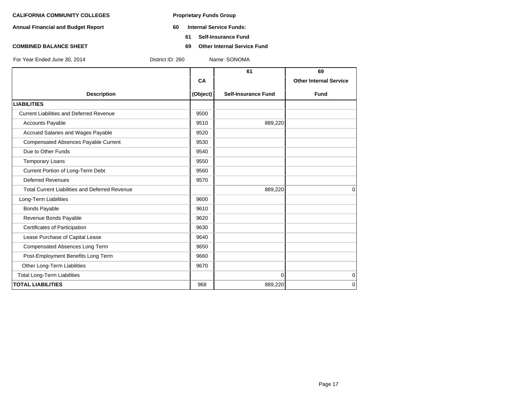- **Annual Financial and Budget Report 60 Internal Service Funds:**
	- **61 Self-Insurance Fund**
- **COMBINED BALANCE SHEET 69 Other Internal Service Fund**

|                                                       |          | 61                         | 69                            |
|-------------------------------------------------------|----------|----------------------------|-------------------------------|
|                                                       | CA       |                            | <b>Other Internal Service</b> |
| <b>Description</b>                                    | (Object) | <b>Self-Insurance Fund</b> | <b>Fund</b>                   |
| <b>LIABILITIES</b>                                    |          |                            |                               |
| <b>Current Liabilities and Deferred Revenue</b>       | 9500     |                            |                               |
| <b>Accounts Payable</b>                               | 9510     | 889,220                    |                               |
| <b>Accrued Salaries and Wages Payable</b>             | 9520     |                            |                               |
| Compensated Absences Payable Current                  | 9530     |                            |                               |
| Due to Other Funds                                    | 9540     |                            |                               |
| <b>Temporary Loans</b>                                | 9550     |                            |                               |
| Current Portion of Long-Term Debt                     | 9560     |                            |                               |
| <b>Deferred Revenues</b>                              | 9570     |                            |                               |
| <b>Total Current Liabilities and Deferred Revenue</b> |          | 889,220                    | $\Omega$                      |
| Long-Term Liabilities                                 | 9600     |                            |                               |
| <b>Bonds Payable</b>                                  | 9610     |                            |                               |
| Revenue Bonds Payable                                 | 9620     |                            |                               |
| Certificates of Participation                         | 9630     |                            |                               |
| Lease Purchase of Capital Lease                       | 9640     |                            |                               |
| Compensated Absences Long Term                        | 9650     |                            |                               |
| Post-Employment Benefits Long Term                    | 9660     |                            |                               |
| Other Long-Term Liabilities                           | 9670     |                            |                               |
| <b>Total Long-Term Liabilities</b>                    |          | $\Omega$                   | 0                             |
| <b>TOTAL LIABILITIES</b>                              | 968      | 889,220                    | $\mathbf 0$                   |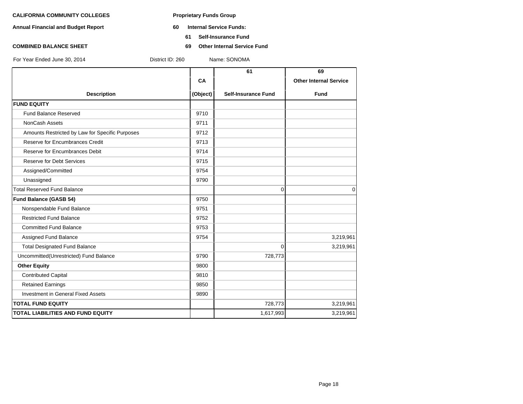- **Annual Financial and Budget Report 60 Internal Service Funds:**
	- **61 Self-Insurance Fund**
- **COMBINED BALANCE SHEET 69 Other Internal Service Fund**

|                                                 |           | 61                         | 69                            |
|-------------------------------------------------|-----------|----------------------------|-------------------------------|
|                                                 | <b>CA</b> |                            | <b>Other Internal Service</b> |
| <b>Description</b>                              | (Object)  | <b>Self-Insurance Fund</b> | <b>Fund</b>                   |
| <b>FUND EQUITY</b>                              |           |                            |                               |
| <b>Fund Balance Reserved</b>                    | 9710      |                            |                               |
| NonCash Assets                                  | 9711      |                            |                               |
| Amounts Restricted by Law for Specific Purposes | 9712      |                            |                               |
| Reserve for Encumbrances Credit                 | 9713      |                            |                               |
| Reserve for Encumbrances Debit                  | 9714      |                            |                               |
| <b>Reserve for Debt Services</b>                | 9715      |                            |                               |
| Assigned/Committed                              | 9754      |                            |                               |
| Unassigned                                      | 9790      |                            |                               |
| <b>Total Reserved Fund Balance</b>              |           | $\Omega$                   | $\Omega$                      |
| Fund Balance (GASB 54)                          | 9750      |                            |                               |
| Nonspendable Fund Balance                       | 9751      |                            |                               |
| <b>Restricted Fund Balance</b>                  | 9752      |                            |                               |
| <b>Committed Fund Balance</b>                   | 9753      |                            |                               |
| Assigned Fund Balance                           | 9754      |                            | 3,219,961                     |
| <b>Total Designated Fund Balance</b>            |           | $\Omega$                   | 3,219,961                     |
| Uncommitted(Unrestricted) Fund Balance          | 9790      | 728,773                    |                               |
| <b>Other Equity</b>                             | 9800      |                            |                               |
| <b>Contributed Capital</b>                      | 9810      |                            |                               |
| <b>Retained Earnings</b>                        | 9850      |                            |                               |
| Investment in General Fixed Assets              | 9890      |                            |                               |
| <b>TOTAL FUND EQUITY</b>                        |           | 728,773                    | 3,219,961                     |
| <b>TOTAL LIABILITIES AND FUND EQUITY</b>        |           | 1,617,993                  | 3,219,961                     |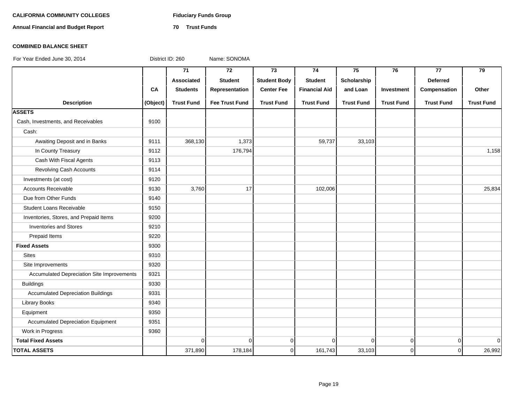# **CALIFORNIA COMMUNITY COLLEGES Fiduciary Funds Group**

**Annual Financial and Budget Report 70 Trust Funds**

### **COMBINED BALANCE SHEET**

|                                            |          | 71                | $\overline{72}$       | 73                  | 74                   | 75                | 76                | 77                | 79                |
|--------------------------------------------|----------|-------------------|-----------------------|---------------------|----------------------|-------------------|-------------------|-------------------|-------------------|
|                                            |          | Associated        | <b>Student</b>        | <b>Student Body</b> | <b>Student</b>       | Scholarship       |                   | <b>Deferred</b>   |                   |
|                                            | CA       | <b>Students</b>   | Representation        | <b>Center Fee</b>   | <b>Financial Aid</b> | and Loan          | Investment        | Compensation      | Other             |
| <b>Description</b>                         | (Object) | <b>Trust Fund</b> | <b>Fee Trust Fund</b> | <b>Trust Fund</b>   | <b>Trust Fund</b>    | <b>Trust Fund</b> | <b>Trust Fund</b> | <b>Trust Fund</b> | <b>Trust Fund</b> |
| <b>ASSETS</b>                              |          |                   |                       |                     |                      |                   |                   |                   |                   |
| Cash, Investments, and Receivables         | 9100     |                   |                       |                     |                      |                   |                   |                   |                   |
| Cash:                                      |          |                   |                       |                     |                      |                   |                   |                   |                   |
| Awaiting Deposit and in Banks              | 9111     | 368,130           | 1,373                 |                     | 59,737               | 33,103            |                   |                   |                   |
| In County Treasury                         | 9112     |                   | 176,794               |                     |                      |                   |                   |                   | 1,158             |
| Cash With Fiscal Agents                    | 9113     |                   |                       |                     |                      |                   |                   |                   |                   |
| Revolving Cash Accounts                    | 9114     |                   |                       |                     |                      |                   |                   |                   |                   |
| Investments (at cost)                      | 9120     |                   |                       |                     |                      |                   |                   |                   |                   |
| <b>Accounts Receivable</b>                 | 9130     | 3,760             | 17                    |                     | 102,006              |                   |                   |                   | 25,834            |
| Due from Other Funds                       | 9140     |                   |                       |                     |                      |                   |                   |                   |                   |
| <b>Student Loans Receivable</b>            | 9150     |                   |                       |                     |                      |                   |                   |                   |                   |
| Inventories, Stores, and Prepaid Items     | 9200     |                   |                       |                     |                      |                   |                   |                   |                   |
| <b>Inventories and Stores</b>              | 9210     |                   |                       |                     |                      |                   |                   |                   |                   |
| Prepaid Items                              | 9220     |                   |                       |                     |                      |                   |                   |                   |                   |
| <b>Fixed Assets</b>                        | 9300     |                   |                       |                     |                      |                   |                   |                   |                   |
| <b>Sites</b>                               | 9310     |                   |                       |                     |                      |                   |                   |                   |                   |
| Site Improvements                          | 9320     |                   |                       |                     |                      |                   |                   |                   |                   |
| Accumulated Depreciation Site Improvements | 9321     |                   |                       |                     |                      |                   |                   |                   |                   |
| <b>Buildings</b>                           | 9330     |                   |                       |                     |                      |                   |                   |                   |                   |
| <b>Accumulated Depreciation Buildings</b>  | 9331     |                   |                       |                     |                      |                   |                   |                   |                   |
| <b>Library Books</b>                       | 9340     |                   |                       |                     |                      |                   |                   |                   |                   |
| Equipment                                  | 9350     |                   |                       |                     |                      |                   |                   |                   |                   |
| <b>Accumulated Depreciation Equipment</b>  | 9351     |                   |                       |                     |                      |                   |                   |                   |                   |
| Work in Progress                           | 9360     |                   |                       |                     |                      |                   |                   |                   |                   |
| <b>Total Fixed Assets</b>                  |          | $\mathbf 0$       | $\Omega$              | $\mathbf 0$         | $\overline{0}$       | $\overline{0}$    | $\mathbf 0$       | $\overline{0}$    | $\Omega$          |
| <b>TOTAL ASSETS</b>                        |          | 371,890           | 178,184               | 0                   | 161,743              | 33,103            | $\mathbf 0$       | $\mathbf 0$       | 26,992            |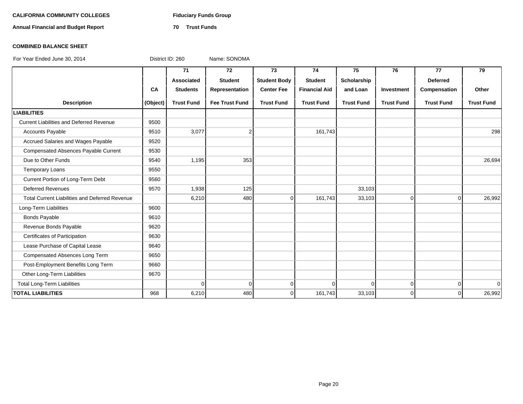# **CALIFORNIA COMMUNITY COLLEGES Fiduciary Funds Group**

**Annual Financial and Budget Report 70 Trust Funds**

### **COMBINED BALANCE SHEET**

|                                                       |           | 71                | 72                    | 73                  | 74                   | 75                | 76                | 77                | 79                |
|-------------------------------------------------------|-----------|-------------------|-----------------------|---------------------|----------------------|-------------------|-------------------|-------------------|-------------------|
|                                                       |           | <b>Associated</b> | <b>Student</b>        | <b>Student Body</b> | <b>Student</b>       | Scholarship       |                   | <b>Deferred</b>   |                   |
|                                                       | <b>CA</b> | <b>Students</b>   | Representation        | <b>Center Fee</b>   | <b>Financial Aid</b> | and Loan          | Investment        | Compensation      | Other             |
| <b>Description</b>                                    | (Object)  | <b>Trust Fund</b> | <b>Fee Trust Fund</b> | <b>Trust Fund</b>   | <b>Trust Fund</b>    | <b>Trust Fund</b> | <b>Trust Fund</b> | <b>Trust Fund</b> | <b>Trust Fund</b> |
| <b>LIABILITIES</b>                                    |           |                   |                       |                     |                      |                   |                   |                   |                   |
| <b>Current Liabilities and Deferred Revenue</b>       | 9500      |                   |                       |                     |                      |                   |                   |                   |                   |
| <b>Accounts Payable</b>                               | 9510      | 3,077             | 2                     |                     | 161,743              |                   |                   |                   | 298               |
| Accrued Salaries and Wages Payable                    | 9520      |                   |                       |                     |                      |                   |                   |                   |                   |
| <b>Compensated Absences Payable Current</b>           | 9530      |                   |                       |                     |                      |                   |                   |                   |                   |
| Due to Other Funds                                    | 9540      | 1,195             | 353                   |                     |                      |                   |                   |                   | 26,694            |
| Temporary Loans                                       | 9550      |                   |                       |                     |                      |                   |                   |                   |                   |
| Current Portion of Long-Term Debt                     | 9560      |                   |                       |                     |                      |                   |                   |                   |                   |
| <b>Deferred Revenues</b>                              | 9570      | 1,938             | 125                   |                     |                      | 33,103            |                   |                   |                   |
| <b>Total Current Liabilities and Deferred Revenue</b> |           | 6,210             | 480                   | $\Omega$            | 161,743              | 33,103            | $\Omega$          | $\Omega$          | 26,992            |
| Long-Term Liabilities                                 | 9600      |                   |                       |                     |                      |                   |                   |                   |                   |
| <b>Bonds Payable</b>                                  | 9610      |                   |                       |                     |                      |                   |                   |                   |                   |
| Revenue Bonds Payable                                 | 9620      |                   |                       |                     |                      |                   |                   |                   |                   |
| Certificates of Participation                         | 9630      |                   |                       |                     |                      |                   |                   |                   |                   |
| Lease Purchase of Capital Lease                       | 9640      |                   |                       |                     |                      |                   |                   |                   |                   |
| Compensated Absences Long Term                        | 9650      |                   |                       |                     |                      |                   |                   |                   |                   |
| Post-Employment Benefits Long Term                    | 9660      |                   |                       |                     |                      |                   |                   |                   |                   |
| Other Long-Term Liabilities                           | 9670      |                   |                       |                     |                      |                   |                   |                   |                   |
| <b>Total Long-Term Liabilities</b>                    |           | $\Omega$          | $\Omega$              | $\Omega$            | $\mathbf 0$          | $\Omega$          | $\Omega$          | $\Omega$          | 0                 |
| <b>TOTAL LIABILITIES</b>                              | 968       | 6,210             | 480                   | $\Omega$            | 161,743              | 33,103            | $\Omega$          | $\Omega$          | 26,992            |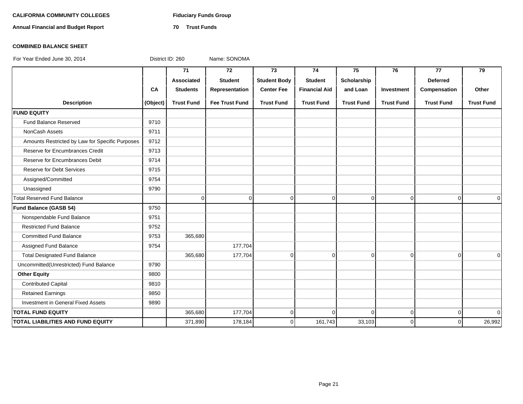# **CALIFORNIA COMMUNITY COLLEGES Fiduciary Funds Group**

**Annual Financial and Budget Report 70 Trust Funds**

### **COMBINED BALANCE SHEET**

|                                                 |          | 71                | 72                    | 73                  | 74                   | 75                | 76                | 77                | 79                |
|-------------------------------------------------|----------|-------------------|-----------------------|---------------------|----------------------|-------------------|-------------------|-------------------|-------------------|
|                                                 |          | Associated        | <b>Student</b>        | <b>Student Body</b> | <b>Student</b>       | Scholarship       |                   | <b>Deferred</b>   |                   |
|                                                 | CA       | <b>Students</b>   | Representation        | <b>Center Fee</b>   | <b>Financial Aid</b> | and Loan          | Investment        | Compensation      | Other             |
| <b>Description</b>                              | (Object) | <b>Trust Fund</b> | <b>Fee Trust Fund</b> | <b>Trust Fund</b>   | <b>Trust Fund</b>    | <b>Trust Fund</b> | <b>Trust Fund</b> | <b>Trust Fund</b> | <b>Trust Fund</b> |
| <b>FUND EQUITY</b>                              |          |                   |                       |                     |                      |                   |                   |                   |                   |
| Fund Balance Reserved                           | 9710     |                   |                       |                     |                      |                   |                   |                   |                   |
| <b>NonCash Assets</b>                           | 9711     |                   |                       |                     |                      |                   |                   |                   |                   |
| Amounts Restricted by Law for Specific Purposes | 9712     |                   |                       |                     |                      |                   |                   |                   |                   |
| Reserve for Encumbrances Credit                 | 9713     |                   |                       |                     |                      |                   |                   |                   |                   |
| Reserve for Encumbrances Debit                  | 9714     |                   |                       |                     |                      |                   |                   |                   |                   |
| Reserve for Debt Services                       | 9715     |                   |                       |                     |                      |                   |                   |                   |                   |
| Assigned/Committed                              | 9754     |                   |                       |                     |                      |                   |                   |                   |                   |
| Unassigned                                      | 9790     |                   |                       |                     |                      |                   |                   |                   |                   |
| <b>Total Reserved Fund Balance</b>              |          | $\mathbf 0$       | $\Omega$              | $\Omega$            | $\Omega$             | $\mathbf 0$       | $\mathbf 0$       | $\Omega$          | $\Omega$          |
| Fund Balance (GASB 54)                          | 9750     |                   |                       |                     |                      |                   |                   |                   |                   |
| Nonspendable Fund Balance                       | 9751     |                   |                       |                     |                      |                   |                   |                   |                   |
| <b>Restricted Fund Balance</b>                  | 9752     |                   |                       |                     |                      |                   |                   |                   |                   |
| <b>Committed Fund Balance</b>                   | 9753     | 365,680           |                       |                     |                      |                   |                   |                   |                   |
| Assigned Fund Balance                           | 9754     |                   | 177,704               |                     |                      |                   |                   |                   |                   |
| <b>Total Designated Fund Balance</b>            |          | 365,680           | 177,704               | $\Omega$            | $\overline{0}$       | $\mathbf 0$       | $\mathbf 0$       | $\Omega$          | $\Omega$          |
| Uncommitted(Unrestricted) Fund Balance          | 9790     |                   |                       |                     |                      |                   |                   |                   |                   |
| <b>Other Equity</b>                             | 9800     |                   |                       |                     |                      |                   |                   |                   |                   |
| <b>Contributed Capital</b>                      | 9810     |                   |                       |                     |                      |                   |                   |                   |                   |
| <b>Retained Earnings</b>                        | 9850     |                   |                       |                     |                      |                   |                   |                   |                   |
| Investment in General Fixed Assets              | 9890     |                   |                       |                     |                      |                   |                   |                   |                   |
| <b>TOTAL FUND EQUITY</b>                        |          | 365,680           | 177,704               | $\Omega$            | $\Omega$             | $\Omega$          | $\Omega$          | $\Omega$          | $\Omega$          |
| <b>TOTAL LIABILITIES AND FUND EQUITY</b>        |          | 371,890           | 178,184               | $\Omega$            | 161,743              | 33,103            | $\Omega$          | $\Omega$          | 26,992            |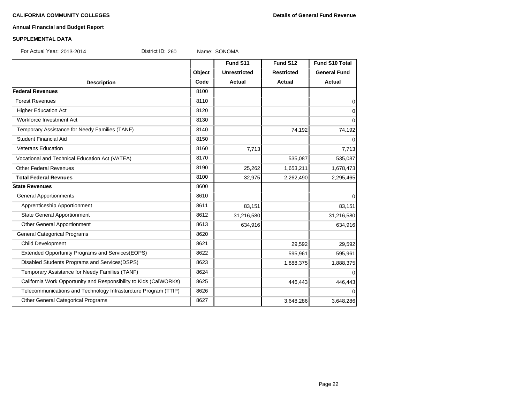### **CALIFORNIA COMMUNITY COLLEGES Details of General Fund Revenue**

# **Annual Financial and Budget Report**

### **SUPPLEMENTAL DATA**

For Actual Year: 2013-2014 District ID: 260 Name: SONOMA

|                                                                   |        | Fund S11            | Fund S12          | Fund S10 Total      |
|-------------------------------------------------------------------|--------|---------------------|-------------------|---------------------|
|                                                                   | Object | <b>Unrestricted</b> | <b>Restricted</b> | <b>General Fund</b> |
| <b>Description</b>                                                | Code   | Actual              | <b>Actual</b>     | <b>Actual</b>       |
| <b>Federal Revenues</b>                                           | 8100   |                     |                   |                     |
| <b>Forest Revenues</b>                                            | 8110   |                     |                   | $\mathbf 0$         |
| <b>Higher Education Act</b>                                       | 8120   |                     |                   | 0                   |
| Workforce Investment Act                                          | 8130   |                     |                   | $\Omega$            |
| Temporary Assistance for Needy Families (TANF)                    | 8140   |                     | 74,192            | 74,192              |
| <b>Student Financial Aid</b>                                      | 8150   |                     |                   | 0                   |
| <b>Veterans Education</b>                                         | 8160   | 7,713               |                   | 7,713               |
| Vocational and Technical Education Act (VATEA)                    | 8170   |                     | 535,087           | 535,087             |
| <b>Other Federal Revenues</b>                                     | 8190   | 25,262              | 1,653,211         | 1,678,473           |
| <b>Total Federal Revnues</b>                                      | 8100   | 32,975              | 2,262,490         | 2,295,465           |
| <b>State Revenues</b>                                             | 8600   |                     |                   |                     |
| <b>General Apportionments</b>                                     | 8610   |                     |                   | 0                   |
| Apprenticeship Apportionment                                      | 8611   | 83,151              |                   | 83,151              |
| <b>State General Apportionment</b>                                | 8612   | 31,216,580          |                   | 31,216,580          |
| Other General Apportionment                                       | 8613   | 634,916             |                   | 634,916             |
| <b>General Categorical Programs</b>                               | 8620   |                     |                   |                     |
| <b>Child Development</b>                                          | 8621   |                     | 29,592            | 29,592              |
| Extended Opportunity Programs and Services (EOPS)                 | 8622   |                     | 595,961           | 595,961             |
| Disabled Students Programs and Services(DSPS)                     | 8623   |                     | 1,888,375         | 1,888,375           |
| Temporary Assistance for Needy Families (TANF)                    | 8624   |                     |                   | $\Omega$            |
| California Work Opportunity and Responsibility to Kids (CalWORKs) | 8625   |                     | 446,443           | 446,443             |
| Telecommunications and Technology Infrasturcture Program (TTIP)   | 8626   |                     |                   | $\Omega$            |
| Other General Categorical Programs                                | 8627   |                     | 3,648,286         | 3,648,286           |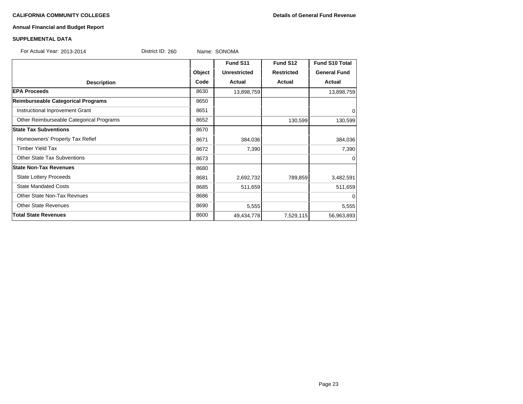# **CALIFORNIA COMMUNITY COLLEGES Details of General Fund Revenue**

## **Annual Financial and Budget Report**

# **SUPPLEMENTAL DATA**

| For Actual Year: 2013-2014               | District ID: 260 |        | Name: SONOMA        |                   |                       |
|------------------------------------------|------------------|--------|---------------------|-------------------|-----------------------|
|                                          |                  |        | Fund S11            | Fund S12          | <b>Fund S10 Total</b> |
|                                          |                  | Object | <b>Unrestricted</b> | <b>Restricted</b> | <b>General Fund</b>   |
| <b>Description</b>                       |                  | Code   | <b>Actual</b>       | <b>Actual</b>     | <b>Actual</b>         |
| <b>EPA Proceeds</b>                      |                  | 8630   | 13,898,759          |                   | 13,898,759            |
| Reimburseable Categorical Programs       |                  | 8650   |                     |                   |                       |
| Instructional Inprovement Grant          |                  | 8651   |                     |                   | 0                     |
| Other Reimburseable Categorical Programs |                  | 8652   |                     | 130,599           | 130,599               |
| <b>State Tax Subventions</b>             |                  | 8670   |                     |                   |                       |
| Homeowners' Property Tax Refief          |                  | 8671   | 384,036             |                   | 384,036               |
| <b>Timber Yield Tax</b>                  |                  | 8672   | 7,390               |                   | 7,390                 |
| <b>Other State Tax Subventions</b>       |                  | 8673   |                     |                   | $\Omega$              |
| <b>State Non-Tax Revenues</b>            |                  | 8680   |                     |                   |                       |
| <b>State Lottery Proceeds</b>            |                  | 8681   | 2,692,732           | 789,859           | 3,482,591             |
| <b>State Mandated Costs</b>              |                  | 8685   | 511,659             |                   | 511,659               |
| Other State Non-Tax Revnues              |                  | 8686   |                     |                   | $\Omega$              |
| <b>Other State Revenues</b>              |                  | 8690   | 5,555               |                   | 5,555                 |
| <b>Total State Revenues</b>              |                  | 8600   | 49,434,778          | 7,529,115         | 56,963,893            |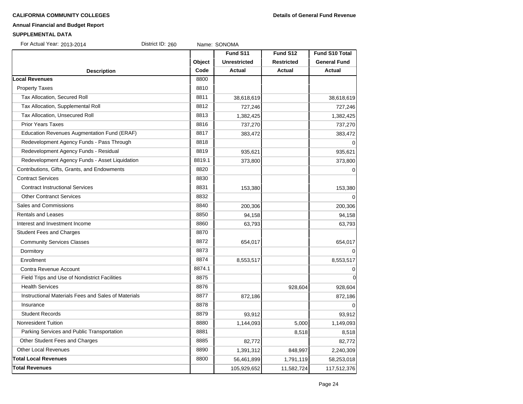#### **CALIFORNIA COMMUNITY COLLEGES Details of General Fund Revenue**

#### **Annual Financial and Budget Report**

#### **SUPPLEMENTAL DATA**

| SUPPLEMENTAL DATA                              |                  |        |                     |                   |                       |
|------------------------------------------------|------------------|--------|---------------------|-------------------|-----------------------|
| For Actual Year: 2013-2014                     | District ID: 260 |        | Name: SONOMA        |                   |                       |
|                                                |                  |        | Fund S11            | Fund S12          | <b>Fund S10 Total</b> |
|                                                |                  | Object | <b>Unrestricted</b> | <b>Restricted</b> | <b>General Fund</b>   |
| <b>Description</b>                             |                  | Code   | Actual              | <b>Actual</b>     | Actual                |
| <b>Local Revenues</b>                          |                  | 8800   |                     |                   |                       |
| <b>Property Taxes</b>                          |                  | 8810   |                     |                   |                       |
| Tax Allocation, Secured Roll                   |                  | 8811   | 38,618,619          |                   | 38,618,619            |
| Tax Allocation, Supplemental Roll              |                  | 8812   | 727,246             |                   | 727,246               |
| Tax Allocation, Unsecured Roll                 |                  | 8813   | 1,382,425           |                   | 1,382,425             |
| <b>Prior Years Taxes</b>                       |                  | 8816   | 737,270             |                   | 737,270               |
| Education Revenues Augmentation Fund (ERAF)    |                  | 8817   | 383,472             |                   | 383,472               |
| Redevelopment Agency Funds - Pass Through      |                  | 8818   |                     |                   | 0                     |
| Redevelopment Agency Funds - Residual          |                  | 8819   | 935,621             |                   | 935,621               |
| Redevelopment Agency Funds - Asset Liquidation |                  | 8819.1 | 373,800             |                   | 373,800               |
| Contributions, Gifts, Grants, and Endowments   |                  | 8820   |                     |                   | 0                     |
| <b>Contract Services</b>                       |                  | 8830   |                     |                   |                       |
| <b>Contract Instructional Services</b>         |                  | 8831   | 153,380             |                   | 153,380               |
| <b>Other Contranct Services</b>                |                  | 8832   |                     |                   | 0                     |

| Contributions, Gifts, Grants, and Endowments        | 8820   |           |         | $\mathbf 0$    |
|-----------------------------------------------------|--------|-----------|---------|----------------|
| <b>Contract Services</b>                            | 8830   |           |         |                |
| <b>Contract Instructional Services</b>              | 8831   | 153,380   |         | 153,380        |
| <b>Other Contranct Services</b>                     | 8832   |           |         | 0              |
| Sales and Commissions                               | 8840   | 200,306   |         | 200,306        |
| <b>Rentals and Leases</b>                           | 8850   | 94,158    |         | 94,158         |
| Interest and Investment Income                      | 8860   | 63,793    |         | 63,793         |
| <b>Student Fees and Charges</b>                     | 8870   |           |         |                |
| <b>Community Services Classes</b>                   | 8872   | 654,017   |         | 654,017        |
| Dormitory                                           | 8873   |           |         | $\mathbf 0$    |
| Enrollment                                          | 8874   | 8,553,517 |         | 8,553,517      |
| Contra Revenue Account                              | 8874.1 |           |         | 0              |
| Field Trips and Use of Nondistrict Facilities       | 8875   |           |         | $\overline{0}$ |
| <b>Health Services</b>                              | 8876   |           | 928,604 | 928,604        |
| Instructional Materials Fees and Sales of Materials | 8877   | 872,186   |         | 872,186        |
| Insurance                                           | 8878   |           |         | $\Omega$       |
| <b>Student Records</b>                              | 8879   | 93,912    |         | 93,912         |
| Nonresident Tuition                                 | 8880   | 1,144,093 | 5,000   | 1,149,093      |

Parking Services and Public Transportation **8.518** 8881 8,518 8,518 8,518 8,518 Other Student Fees and Charges **8885** 82,772 82,772 82,772 Other Local Revenues 2,240,309 1,391,312 848,997 2,240,309 **Total Local Revenues** 8800 56,461,899 1,791,119 58,253,018 **Total Revenues** 105,929,652 11,582,724 117,512,376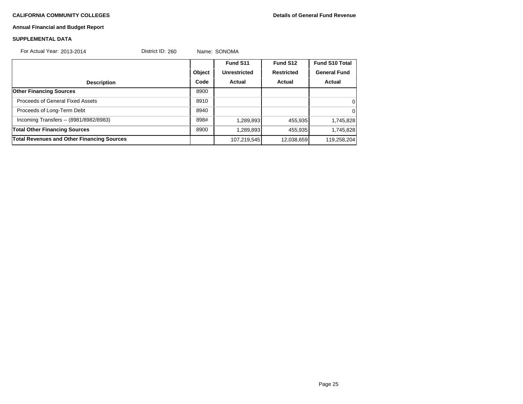# **CALIFORNIA COMMUNITY COLLEGES Details of General Fund Revenue**

# **Annual Financial and Budget Report**

# **SUPPLEMENTAL DATA**

| For Actual Year: 2013-2014                        | District ID: 260 |        | Name: SONOMA |                   |                       |
|---------------------------------------------------|------------------|--------|--------------|-------------------|-----------------------|
|                                                   |                  |        | Fund S11     | Fund S12          | <b>Fund S10 Total</b> |
|                                                   |                  | Object | Unrestricted | <b>Restricted</b> | <b>General Fund</b>   |
| <b>Description</b>                                |                  | Code   | Actual       | Actual            | Actual                |
| <b>Other Financing Sources</b>                    |                  | 8900   |              |                   |                       |
| Proceeds of General Fixed Assets                  |                  | 8910   |              |                   | 0                     |
| Proceeds of Long-Term Debt                        |                  | 8940   |              |                   | $\Omega$              |
| Incoming Transfers -- (8981/8982/8983)            |                  | 898#   | 1,289,893    | 455,935           | 1,745,828             |
| <b>Total Other Financing Sources</b>              |                  | 8900   | 1,289,893    | 455,935           | 1,745,828             |
| <b>Total Revenues and Other Financing Sources</b> |                  |        | 107,219,545  | 12,038,659        | 119,258,204           |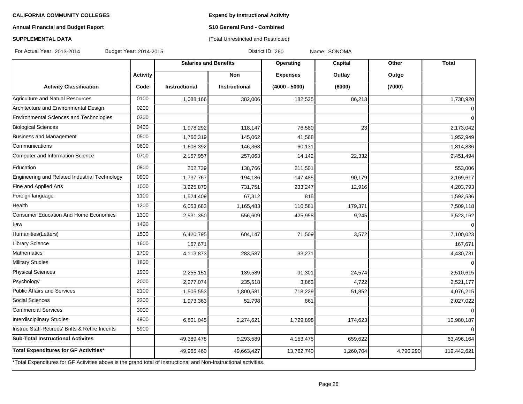**Expend by Instructional Activity**

(Total Unrestricted and Restricted)

# **Annual Financial and Budget Report**

# **S10 General Fund - Combined**

# **SUPPLEMENTAL DATA**

For Actual Year: 2013-2014 Budget Year: 2014-2015 Connect Solie Research District ID: 260 Name: SONOMA

|                                                                                                                   |                 | <b>Salaries and Benefits</b> |                      | Operating       | <b>Capital</b> | Other     | <b>Total</b> |
|-------------------------------------------------------------------------------------------------------------------|-----------------|------------------------------|----------------------|-----------------|----------------|-----------|--------------|
|                                                                                                                   | <b>Activity</b> |                              | <b>Non</b>           | <b>Expenses</b> | Outlay         | Outgo     |              |
| <b>Activity Classification</b>                                                                                    | Code            | <b>Instructional</b>         | <b>Instructional</b> | $(4000 - 5000)$ | (6000)         | (7000)    |              |
| Agriculture and Natual Resources                                                                                  | 0100            | 1,088,166                    | 382,006              | 182,535         | 86,213         |           | 1,738,920    |
| Architecture and Environmental Design                                                                             | 0200            |                              |                      |                 |                |           | $\mathbf 0$  |
| Environmental Sciences and Technologies                                                                           | 0300            |                              |                      |                 |                |           | $\Omega$     |
| <b>Biological Sciences</b>                                                                                        | 0400            | 1,978,292                    | 118,147              | 76,580          | 23             |           | 2,173,042    |
| Business and Management                                                                                           | 0500            | 1,766,319                    | 145,062              | 41,568          |                |           | 1,952,949    |
| Communications                                                                                                    | 0600            | 1,608,392                    | 146,363              | 60,131          |                |           | 1,814,886    |
| Computer and Information Science                                                                                  | 0700            | 2,157,957                    | 257,063              | 14,142          | 22,332         |           | 2,451,494    |
| Education                                                                                                         | 0800            | 202,739                      | 138,766              | 211,501         |                |           | 553,006      |
| Engineering and Related Industrial Technology                                                                     | 0900            | 1,737,767                    | 194,186              | 147,485         | 90,179         |           | 2,169,617    |
| Fine and Applied Arts                                                                                             | 1000            | 3,225,879                    | 731,751              | 233,247         | 12,916         |           | 4,203,793    |
| Foreign language                                                                                                  | 1100            | 1,524,409                    | 67,312               | 815             |                |           | 1,592,536    |
| Health                                                                                                            | 1200            | 6,053,683                    | 1,165,483            | 110,581         | 179,371        |           | 7,509,118    |
| Consumer Education And Home Economics                                                                             | 1300            | 2,531,350                    | 556,609              | 425,958         | 9,245          |           | 3,523,162    |
| Law                                                                                                               | 1400            |                              |                      |                 |                |           | $\Omega$     |
| Humanities(Letters)                                                                                               | 1500            | 6,420,795                    | 604,147              | 71,509          | 3,572          |           | 7,100,023    |
| Library Science                                                                                                   | 1600            | 167,671                      |                      |                 |                |           | 167,671      |
| Mathematics                                                                                                       | 1700            | 4,113,873                    | 283,587              | 33,271          |                |           | 4,430,731    |
| Military Studies                                                                                                  | 1800            |                              |                      |                 |                |           |              |
| <b>Physical Sciences</b>                                                                                          | 1900            | 2,255,151                    | 139,589              | 91,301          | 24,574         |           | 2,510,615    |
| Psychology                                                                                                        | 2000            | 2,277,074                    | 235,518              | 3,863           | 4,722          |           | 2,521,177    |
| Public Affairs and Services                                                                                       | 2100            | 1,505,553                    | 1,800,581            | 718,229         | 51,852         |           | 4,076,215    |
| Social Sciences                                                                                                   | 2200            | 1,973,363                    | 52,798               | 861             |                |           | 2,027,022    |
| Commercial Services                                                                                               | 3000            |                              |                      |                 |                |           | $\Omega$     |
| Interdisciplinary Studies                                                                                         | 4900            | 6,801,045                    | 2,274,621            | 1,729,898       | 174,623        |           | 10,980,187   |
| Instruc Staff-Retirees' Bnfts & Retire Incents                                                                    | 5900            |                              |                      |                 |                |           |              |
| <b>Sub-Total Instructional Activites</b>                                                                          |                 | 49,389,478                   | 9,293,589            | 4,153,475       | 659,622        |           | 63,496,164   |
| Total Expenditures for GF Activities*                                                                             |                 | 49,965,460                   | 49,663,427           | 13,762,740      | 1,260,704      | 4,790,290 | 119,442,621  |
| *Total Expenditures for GF Activities above is the grand total of Instructional and Non-Instructional activities. |                 |                              |                      |                 |                |           |              |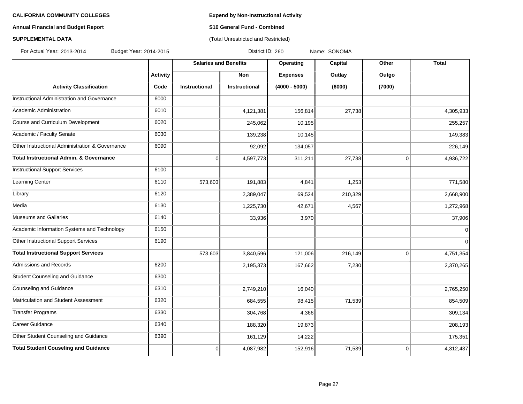# **Annual Financial and Budget Report S10 General Fund - Combined**

## **SUPPLEMENTAL DATA CONSUMPTER ACCOUNT ACCOUNT ACCOUNT ACCOUNT ACCOUNT ACCOUNT ACCOUNT ACCOUNT ACCOUNT ACCOUNT ACCOUNT ACCOUNT ACCOUNT ACCOUNT ACCOUNT ACCOUNT ACCOUNT ACCOUNT ACCOUNT ACCOUNT ACCOUNT ACCOUNT ACCOUNT ACCOUN**

For Actual Year: 2013-2014 Budget Year: 2014-2015 District ID: 260 Name: SONOMA

|                                                 |                 | <b>Salaries and Benefits</b> |                      | <b>Operating</b> | Capital | Other          | <b>Total</b> |
|-------------------------------------------------|-----------------|------------------------------|----------------------|------------------|---------|----------------|--------------|
|                                                 | <b>Activity</b> |                              | <b>Non</b>           | <b>Expenses</b>  | Outlay  | Outgo          |              |
| <b>Activity Classification</b>                  | Code            | <b>Instructional</b>         | <b>Instructional</b> | $(4000 - 5000)$  | (6000)  | (7000)         |              |
| Instructional Administration and Governance     | 6000            |                              |                      |                  |         |                |              |
| Academic Administration                         | 6010            |                              | 4,121,381            | 156,814          | 27,738  |                | 4,305,933    |
| Course and Curriculum Development               | 6020            |                              | 245,062              | 10,195           |         |                | 255,257      |
| Academic / Faculty Senate                       | 6030            |                              | 139,238              | 10,145           |         |                | 149,383      |
| Other Instructional Administration & Governance | 6090            |                              | 92,092               | 134,057          |         |                | 226,149      |
| Total Instructional Admin. & Governance         |                 | $\pmb{0}$                    | 4,597,773            | 311,211          | 27,738  | $\overline{0}$ | 4,936,722    |
| Instructional Support Services                  | 6100            |                              |                      |                  |         |                |              |
| Learning Center                                 | 6110            | 573,603                      | 191,883              | 4,841            | 1,253   |                | 771,580      |
| Library                                         | 6120            |                              | 2,389,047            | 69,524           | 210,329 |                | 2,668,900    |
| Media                                           | 6130            |                              | 1,225,730            | 42,671           | 4,567   |                | 1,272,968    |
| Museums and Gallaries                           | 6140            |                              | 33,936               | 3,970            |         |                | 37,906       |
| Academic Information Systems and Technology     | 6150            |                              |                      |                  |         |                | $\mathbf{0}$ |
| Other Instructional Support Services            | 6190            |                              |                      |                  |         |                | $\Omega$     |
| <b>Total Instructional Support Services</b>     |                 | 573,603                      | 3,840,596            | 121,006          | 216,149 | $\Omega$       | 4,751,354    |
| Admissions and Records                          | 6200            |                              | 2,195,373            | 167,662          | 7,230   |                | 2,370,265    |
| Student Counseling and Guidance                 | 6300            |                              |                      |                  |         |                |              |
| Counseling and Guidance                         | 6310            |                              | 2,749,210            | 16,040           |         |                | 2,765,250    |
| Matriculation and Student Assessment            | 6320            |                              | 684,555              | 98,415           | 71,539  |                | 854,509      |
| Transfer Programs                               | 6330            |                              | 304,768              | 4,366            |         |                | 309,134      |
| Career Guidance                                 | 6340            |                              | 188,320              | 19,873           |         |                | 208,193      |
| Other Student Counseling and Guidance           | 6390            |                              | 161,129              | 14,222           |         |                | 175,351      |
| <b>Total Student Couseling and Guidance</b>     |                 | $\mathbf 0$                  | 4,087,982            | 152,916          | 71,539  | $\overline{0}$ | 4,312,437    |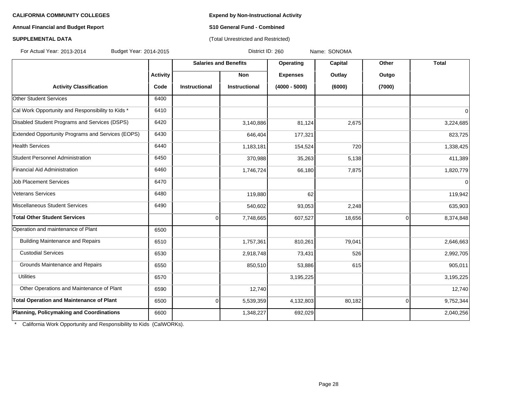# **Annual Financial and Budget Report S10 General Fund - Combined**

# **SUPPLEMENTAL DATA CONSUMPTER ACCOUNT ACCOUNT ACCOUNT ACCOUNT ACCOUNT ACCOUNT ACCOUNT ACCOUNT ACCOUNT ACCOUNT ACCOUNT ACCOUNT ACCOUNT ACCOUNT ACCOUNT ACCOUNT ACCOUNT ACCOUNT ACCOUNT ACCOUNT ACCOUNT ACCOUNT ACCOUNT ACCOUN**

For Actual Year: 2013-2014 Budget Year: 2014-2015 District ID: 260 Name: SONOMA

|                                                   |                 | <b>Salaries and Benefits</b> |                      | Operating       | Capital | Other          | <b>Total</b> |
|---------------------------------------------------|-----------------|------------------------------|----------------------|-----------------|---------|----------------|--------------|
|                                                   | <b>Activity</b> |                              | <b>Non</b>           | <b>Expenses</b> | Outlay  | Outgo          |              |
| <b>Activity Classification</b>                    | Code            | Instructional                | <b>Instructional</b> | $(4000 - 5000)$ | (6000)  | (7000)         |              |
| <b>Other Student Services</b>                     | 6400            |                              |                      |                 |         |                |              |
| Cal Work Opportunity and Responsibility to Kids * | 6410            |                              |                      |                 |         |                | 0            |
| Disabled Student Programs and Services (DSPS)     | 6420            |                              | 3,140,886            | 81,124          | 2,675   |                | 3,224,685    |
| Extended Opportunity Programs and Services (EOPS) | 6430            |                              | 646,404              | 177,321         |         |                | 823,725      |
| <b>Health Services</b>                            | 6440            |                              | 1,183,181            | 154,524         | 720     |                | 1,338,425    |
| Student Personnel Administration                  | 6450            |                              | 370,988              | 35,263          | 5,138   |                | 411,389      |
| Financial Aid Administration                      | 6460            |                              | 1,746,724            | 66,180          | 7.875   |                | 1,820,779    |
| <b>Job Placement Services</b>                     | 6470            |                              |                      |                 |         |                | $\Omega$     |
| Veterans Services                                 | 6480            |                              | 119,880              | 62              |         |                | 119,942      |
| Miscellaneous Student Services                    | 6490            |                              | 540,602              | 93,053          | 2,248   |                | 635,903      |
| <b>Total Other Student Services</b>               |                 | 0                            | 7,748,665            | 607,527         | 18,656  | $\overline{0}$ | 8,374,848    |
| Operation and maintenance of Plant                | 6500            |                              |                      |                 |         |                |              |
| <b>Building Maintenance and Repairs</b>           | 6510            |                              | 1,757,361            | 810,261         | 79,041  |                | 2,646,663    |
| <b>Custodial Services</b>                         | 6530            |                              | 2,918,748            | 73,431          | 526     |                | 2,992,705    |
| Grounds Maintenance and Repairs                   | 6550            |                              | 850,510              | 53,886          | 615     |                | 905,011      |
| <b>Utilities</b>                                  | 6570            |                              |                      | 3,195,225       |         |                | 3,195,225    |
| Other Operations and Maintenance of Plant         | 6590            |                              | 12,740               |                 |         |                | 12,740       |
| <b>Total Operation and Maintenance of Plant</b>   | 6500            | 0                            | 5,539,359            | 4,132,803       | 80,182  | $\overline{0}$ | 9,752,344    |
| Planning, Policymaking and Coordinations          | 6600            |                              | 1,348,227            | 692,029         |         |                | 2,040,256    |

\* California Work Opportunity and Responsibility to Kids (CalWORKs).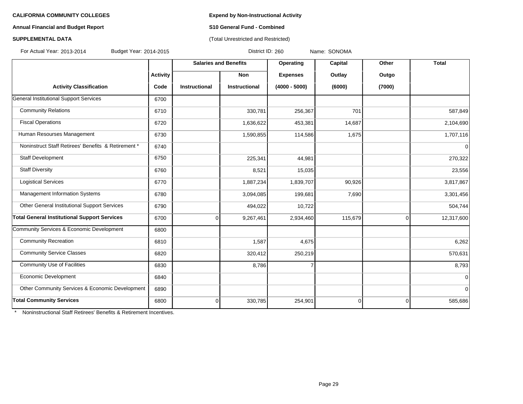### **Annual Financial and Budget Report S10 General Fund - Combined**

# **SUPPLEMENTAL DATA** (Total Unrestricted and Restricted)

For Actual Year: 2013-2014 Budget Year: 2014-2015 District ID: 260 Name: SONOMA

|                                                     |                 | <b>Salaries and Benefits</b> |                      | Operating       | Capital  | Other       | <b>Total</b>   |
|-----------------------------------------------------|-----------------|------------------------------|----------------------|-----------------|----------|-------------|----------------|
|                                                     | <b>Activity</b> |                              | <b>Non</b>           | <b>Expenses</b> | Outlay   | Outgo       |                |
| <b>Activity Classification</b>                      | Code            | <b>Instructional</b>         | <b>Instructional</b> | $(4000 - 5000)$ | (6000)   | (7000)      |                |
| General Institutional Support Services              | 6700            |                              |                      |                 |          |             |                |
| <b>Community Relations</b>                          | 6710            |                              | 330,781              | 256,367         | 701      |             | 587,849        |
| <b>Fiscal Operations</b>                            | 6720            |                              | 1,636,622            | 453,381         | 14,687   |             | 2,104,690      |
| Human Resourses Management                          | 6730            |                              | 1,590,855            | 114,586         | 1,675    |             | 1,707,116      |
| Noninstruct Staff Retirees' Benefits & Retirement * | 6740            |                              |                      |                 |          |             | 0              |
| Staff Development                                   | 6750            |                              | 225,341              | 44,981          |          |             | 270,322        |
| <b>Staff Diversity</b>                              | 6760            |                              | 8,521                | 15,035          |          |             | 23,556         |
| <b>Logistical Services</b>                          | 6770            |                              | 1,887,234            | 1,839,707       | 90,926   |             | 3,817,867      |
| Management Information Systems                      | 6780            |                              | 3,094,085            | 199,681         | 7,690    |             | 3,301,456      |
| Other General Institutional Support Services        | 6790            |                              | 494,022              | 10,722          |          |             | 504,744        |
| <b>Total General Institutional Support Services</b> | 6700            | $\Omega$                     | 9,267,461            | 2,934,460       | 115,679  | $\mathbf 0$ | 12,317,600     |
| Community Services & Economic Development           | 6800            |                              |                      |                 |          |             |                |
| <b>Community Recreation</b>                         | 6810            |                              | 1,587                | 4,675           |          |             | 6,262          |
| <b>Community Service Classes</b>                    | 6820            |                              | 320,412              | 250,219         |          |             | 570,631        |
| <b>Community Use of Facilities</b>                  | 6830            |                              | 8,786                |                 |          |             | 8,793          |
| Economic Development                                | 6840            |                              |                      |                 |          |             | $\Omega$       |
| Other Community Services & Economic Development     | 6890            |                              |                      |                 |          |             | $\overline{0}$ |
| <b>Total Community Services</b>                     | 6800            | $\overline{0}$               | 330,785              | 254,901         | $\Omega$ | $\mathbf 0$ | 585,686        |

\* Noninstructional Staff Retirees' Benefits & Retirement Incentives.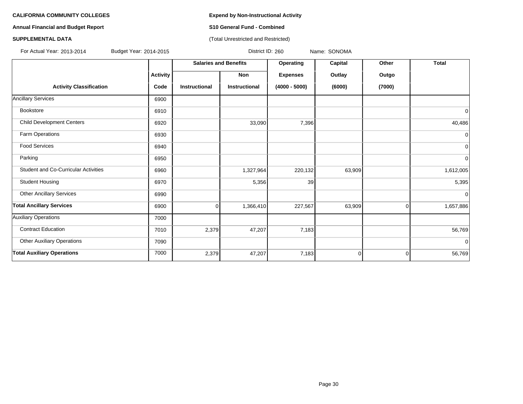**Annual Financial and Budget Report S10 General Fund - Combined**

### **SUPPLEMENTAL DATA CONSUMPTER ACCOUNT ACCOUNT ACCOUNT ACCOUNT ACCOUNT ACCOUNT ACCOUNT ACCOUNT ACCOUNT ACCOUNT ACCOUNT ACCOUNT ACCOUNT ACCOUNT ACCOUNT ACCOUNT ACCOUNT ACCOUNT ACCOUNT ACCOUNT ACCOUNT ACCOUNT ACCOUNT ACCOUN**

For Actual Year: 2013-2014 Budget Year: 2014-2015 District ID: 260 Name: SONOMA

|                                      |                 | <b>Salaries and Benefits</b> |                      | Operating       | Capital | Other  | <b>Total</b>   |
|--------------------------------------|-----------------|------------------------------|----------------------|-----------------|---------|--------|----------------|
|                                      | <b>Activity</b> |                              | Non                  | <b>Expenses</b> | Outlay  | Outgo  |                |
| <b>Activity Classification</b>       | Code            | <b>Instructional</b>         | <b>Instructional</b> | $(4000 - 5000)$ | (6000)  | (7000) |                |
| <b>Ancillary Services</b>            | 6900            |                              |                      |                 |         |        |                |
| Bookstore                            | 6910            |                              |                      |                 |         |        | 0              |
| <b>Child Development Centers</b>     | 6920            |                              | 33,090               | 7,396           |         |        | 40,486         |
| Farm Operations                      | 6930            |                              |                      |                 |         |        | $\Omega$       |
| <b>Food Services</b>                 | 6940            |                              |                      |                 |         |        | $\overline{0}$ |
| Parking                              | 6950            |                              |                      |                 |         |        | $\mathbf 0$    |
| Student and Co-Curricular Activities | 6960            |                              | 1,327,964            | 220,132         | 63,909  |        | 1,612,005      |
| <b>Student Housing</b>               | 6970            |                              | 5,356                | 39              |         |        | 5,395          |
| <b>Other Ancillary Services</b>      | 6990            |                              |                      |                 |         |        | $\Omega$       |
| <b>Total Ancillary Services</b>      | 6900            | Ωl                           | 1,366,410            | 227,567         | 63,909  | 0      | 1,657,886      |
| <b>Auxiliary Operations</b>          | 7000            |                              |                      |                 |         |        |                |
| <b>Contract Education</b>            | 7010            | 2,379                        | 47,207               | 7,183           |         |        | 56,769         |
| <b>Other Auxiliary Operations</b>    | 7090            |                              |                      |                 |         |        | $\Omega$       |
| <b>Total Auxiliary Operations</b>    | 7000            | 2,379                        | 47,207               | 7,183           | 0       | 0      | 56,769         |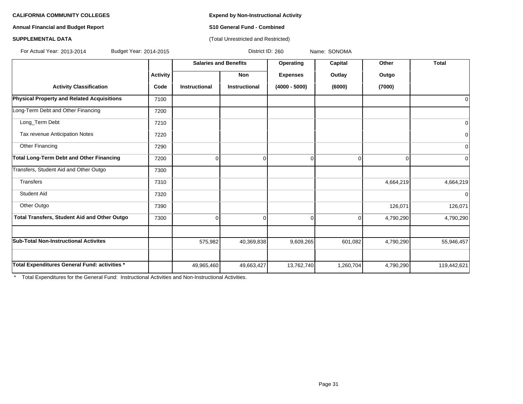**Annual Financial and Budget Report S10 General Fund - Combined**

# **SUPPLEMENTAL DATA** (Total Unrestricted and Restricted)

For Actual Year: 2013-2014 Budget Year: 2014-2015 District ID: 260 Name: SONOMA

|                                                   |                 | <b>Salaries and Benefits</b> |                      | Operating       | Capital   | Other     | <b>Total</b>   |
|---------------------------------------------------|-----------------|------------------------------|----------------------|-----------------|-----------|-----------|----------------|
|                                                   | <b>Activity</b> |                              | Non                  | <b>Expenses</b> | Outlay    | Outgo     |                |
| <b>Activity Classification</b>                    | Code            | Instructional                | <b>Instructional</b> | $(4000 - 5000)$ | (6000)    | (7000)    |                |
| <b>Physical Property and Related Acquisitions</b> | 7100            |                              |                      |                 |           |           | 0              |
| Long-Term Debt and Other Financing                | 7200            |                              |                      |                 |           |           |                |
| Long_Term Debt                                    | 7210            |                              |                      |                 |           |           | $\overline{0}$ |
| Tax revenue Anticipation Notes                    | 7220            |                              |                      |                 |           |           | $\overline{0}$ |
| Other Financing                                   | 7290            |                              |                      |                 |           |           | $\overline{0}$ |
| <b>Total Long-Term Debt and Other Financing</b>   | 7200            | $\Omega$                     | $\Omega$             |                 | $\Omega$  |           | $\overline{0}$ |
| Transfers, Student Aid and Other Outgo            | 7300            |                              |                      |                 |           |           |                |
| Transfers                                         | 7310            |                              |                      |                 |           | 4,664,219 | 4,664,219      |
| <b>Student Aid</b>                                | 7320            |                              |                      |                 |           |           | $\overline{0}$ |
| Other Outgo                                       | 7390            |                              |                      |                 |           | 126,071   | 126,071        |
| Total Transfers, Student Aid and Other Outgo      | 7300            | $\Omega$                     | $\Omega$             | $\Omega$        | $\Omega$  | 4,790,290 | 4,790,290      |
|                                                   |                 |                              |                      |                 |           |           |                |
| <b>Sub-Total Non-Instructional Activites</b>      |                 | 575,982                      | 40,369,838           | 9,609,265       | 601,082   | 4,790,290 | 55,946,457     |
|                                                   |                 |                              |                      |                 |           |           |                |
| Total Expenditures General Fund: activities *     |                 | 49,965,460                   | 49,663,427           | 13,762,740      | 1,260,704 | 4,790,290 | 119,442,621    |

\* Total Expenditures for the General Fund: Instructional Activities and Non-Instructional Activities.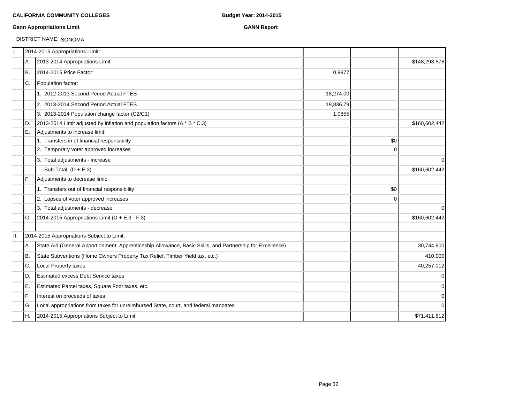### **Gann Appropriations Limit GANN Report**

# DISTRICT NAME: SONOMA

| Π.  |     | 2014-2015 Appropriations Limit:                                                                           |           |             |               |
|-----|-----|-----------------------------------------------------------------------------------------------------------|-----------|-------------|---------------|
|     | А.  | 2013-2014 Appropriations Limit:                                                                           |           |             | \$148,293,578 |
|     | Iв. | 2014-2015 Price Factor:                                                                                   | 0.9977    |             |               |
|     | IC. | Population factor:                                                                                        |           |             |               |
|     |     | 1. 2012-2013 Second Period Actual FTES                                                                    | 18,274.00 |             |               |
|     |     | 2. 2013-2014 Second Period Actual FTES                                                                    | 19,836.79 |             |               |
|     |     | 3. 2013-2014 Population change factor (C2/C1)                                                             | 1.0855    |             |               |
|     | ID. | 2013-2014 Limit adjusted by inflation and population factors (A * B * C.3)                                |           |             | \$160,602,442 |
|     | E.  | Adjustments to increase limit:                                                                            |           |             |               |
|     |     | 1. Transfers in of financial responsibility                                                               |           | \$0         |               |
|     |     | 2. Temporary voter approved increases                                                                     |           | $\Omega$    |               |
|     |     | 3. Total adjustments - increase                                                                           |           |             | $\mathbf 0$   |
|     |     | Sub-Total $(D + E.3)$                                                                                     |           |             | \$160,602,442 |
|     | IF. | Adjustments to decrease limit:                                                                            |           |             |               |
|     |     | 1. Transfers out of financial responsibility                                                              |           | \$0         |               |
|     |     | 2. Lapses of voter approved increases                                                                     |           | $\mathbf 0$ |               |
|     |     | 3. Total adjustments - decrease                                                                           |           |             | 0             |
|     | IG. | 2014-2015 Appropriations Limit ( $D + E.3 - F.3$ )                                                        |           |             | \$160,602,442 |
| II. |     | 2014-2015 Appropriations Subject to Limit:                                                                |           |             |               |
|     | A.  | State Aid (General Apportionment, Apprenticeship Allowance, Basic Skills, and Partnership for Excellence) |           |             | 30,744,600    |
|     | Iв. | State Subventions (Home Owners Property Tax Relief, Timber Yield tax, etc.)                               |           |             | 410,000       |
|     | C.  | Local Property taxes                                                                                      |           |             | 40,257,012    |
|     | ID. | <b>Estimated excess Debt Service taxes</b>                                                                |           |             | $\mathbf 0$   |
|     | ΙE. | Estimated Parcel taxes, Square Foot taxes, etc.                                                           |           |             | 0             |
|     | lF. | Interest on proceeds of taxes                                                                             |           |             | 0             |
|     | lG. | Local appropriations from taxes for unreimbursed State, court, and federal mandates                       |           |             | $\Omega$      |
|     | IH. | 2014-2015 Appropriations Subject to Limit                                                                 |           |             | \$71,411,612  |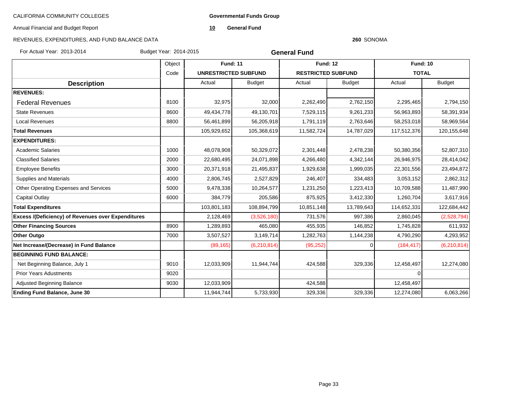**Governmental Funds Group**

Annual Financial and Budget Report

**10 General Fund**

# REVENUES, EXPENDITURES, AND FUND BALANCE DATA

#### **260** SONOMA

For Actual Year: 2013-2014 Budget Year: 2014-2015

**General Fund**

|                                                           | Object |                             | <b>Fund: 11</b> |                           | <b>Fund: 12</b> |              | <b>Fund: 10</b> |
|-----------------------------------------------------------|--------|-----------------------------|-----------------|---------------------------|-----------------|--------------|-----------------|
|                                                           | Code   | <b>UNRESTRICTED SUBFUND</b> |                 | <b>RESTRICTED SUBFUND</b> |                 | <b>TOTAL</b> |                 |
| <b>Description</b>                                        |        | Actual                      | <b>Budget</b>   | Actual                    | <b>Budget</b>   | Actual       | <b>Budget</b>   |
| <b>REVENUES:</b>                                          |        |                             |                 |                           |                 |              |                 |
| <b>Federal Revenues</b>                                   | 8100   | 32,975                      | 32,000          | 2,262,490                 | 2,762,150       | 2,295,465    | 2,794,150       |
| <b>State Revenues</b>                                     | 8600   | 49,434,778                  | 49,130,701      | 7,529,115                 | 9,261,233       | 56,963,893   | 58,391,934      |
| <b>Local Revenues</b>                                     | 8800   | 56,461,899                  | 56,205,918      | 1,791,119                 | 2,763,646       | 58,253,018   | 58,969,564      |
| <b>Total Revenues</b>                                     |        | 105,929,652                 | 105,368,619     | 11,582,724                | 14,787,029      | 117,512,376  | 120, 155, 648   |
| <b>EXPENDITURES:</b>                                      |        |                             |                 |                           |                 |              |                 |
| <b>Academic Salaries</b>                                  | 1000   | 48,078,908                  | 50,329,072      | 2,301,448                 | 2,478,238       | 50,380,356   | 52,807,310      |
| <b>Classified Salaries</b>                                | 2000   | 22,680,495                  | 24,071,898      | 4,266,480                 | 4,342,144       | 26,946,975   | 28,414,042      |
| <b>Employee Benefits</b>                                  | 3000   | 20,371,918                  | 21,495,837      | 1,929,638                 | 1,999,035       | 22,301,556   | 23,494,872      |
| <b>Supplies and Materials</b>                             | 4000   | 2,806,745                   | 2,527,829       | 246.407                   | 334,483         | 3,053,152    | 2,862,312       |
| Other Operating Expenses and Services                     | 5000   | 9,478,338                   | 10,264,577      | 1,231,250                 | 1,223,413       | 10,709,588   | 11,487,990      |
| Capital Outlay                                            | 6000   | 384.779                     | 205,586         | 875,925                   | 3,412,330       | 1,260,704    | 3,617,916       |
| <b>Total Expenditures</b>                                 |        | 103,801,183                 | 108,894,799     | 10,851,148                | 13,789,643      | 114,652,331  | 122,684,442     |
| <b>Excess /(Deficiency) of Revenues over Expenditures</b> |        | 2,128,469                   | (3,526,180)     | 731,576                   | 997,386         | 2,860,045    | (2,528,794)     |
| <b>Other Financing Sources</b>                            | 8900   | 1,289,893                   | 465,080         | 455,935                   | 146,852         | 1,745,828    | 611,932         |
| <b>Other Outgo</b>                                        | 7000   | 3,507,527                   | 3,149,714       | 1,282,763                 | 1,144,238       | 4,790,290    | 4,293,952       |
| Net Increase/(Decrease) in Fund Balance                   |        | (89, 165)                   | (6,210,814)     | (95, 252)                 | ∩               | (184, 417)   | (6,210,814)     |
| <b>BEGINNING FUND BALANCE:</b>                            |        |                             |                 |                           |                 |              |                 |
| Net Beginning Balance, July 1                             | 9010   | 12,033,909                  | 11,944,744      | 424,588                   | 329,336         | 12,458,497   | 12,274,080      |
| <b>Prior Years Adustments</b>                             | 9020   |                             |                 |                           |                 | $\Omega$     |                 |
| <b>Adjusted Beginning Balance</b>                         | 9030   | 12,033,909                  |                 | 424,588                   |                 | 12,458,497   |                 |
| <b>Ending Fund Balance, June 30</b>                       |        | 11,944,744                  | 5,733,930       | 329,336                   | 329,336         | 12,274,080   | 6,063,266       |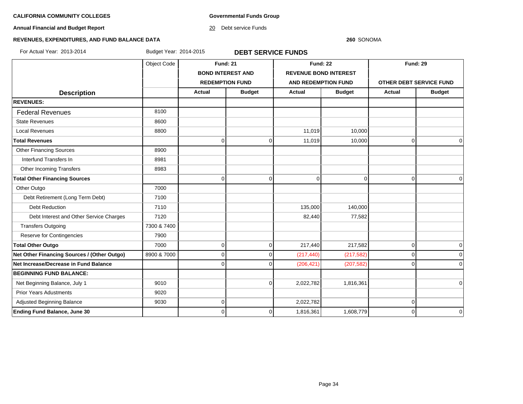**Governmental Funds Group**

**Annual Financial and Budget Report**

20 Debt service Funds

#### **260** SONOMA

# **REVENUES, EXPENDITURES, AND FUND BALANCE DATA**

For Actual Year: 2013-2014 Budget Year: 2014-2015 **DEBT SERVICE FUNDS**

|                                             | Object Code |                        | <b>Fund: 21</b>          |                              | <b>Fund: 22</b> |                         | <b>Fund: 29</b> |  |
|---------------------------------------------|-------------|------------------------|--------------------------|------------------------------|-----------------|-------------------------|-----------------|--|
|                                             |             |                        | <b>BOND INTEREST AND</b> | <b>REVENUE BOND INTEREST</b> |                 |                         |                 |  |
|                                             |             | <b>REDEMPTION FUND</b> |                          | <b>AND REDEMPTION FUND</b>   |                 | OTHER DEBT SERVICE FUND |                 |  |
| <b>Description</b>                          |             | Actual                 | <b>Budget</b>            |                              | <b>Budget</b>   | Actual                  | <b>Budget</b>   |  |
| <b>REVENUES:</b>                            |             |                        |                          |                              |                 |                         |                 |  |
| <b>Federal Revenues</b>                     | 8100        |                        |                          |                              |                 |                         |                 |  |
| <b>State Revenues</b>                       | 8600        |                        |                          |                              |                 |                         |                 |  |
| <b>Local Revenues</b>                       | 8800        |                        |                          | 11.019                       | 10,000          |                         |                 |  |
| <b>Total Revenues</b>                       |             | 0                      | 0                        | 11,019                       | 10,000          | $\Omega$                | $\mathbf 0$     |  |
| <b>Other Financing Sources</b>              | 8900        |                        |                          |                              |                 |                         |                 |  |
| Interfund Transfers In                      | 8981        |                        |                          |                              |                 |                         |                 |  |
| Other Incoming Transfers                    | 8983        |                        |                          |                              |                 |                         |                 |  |
| <b>Total Other Financing Sources</b>        |             | $\Omega$               | $\Omega$                 | $\mathbf 0$                  | $\mathbf 0$     | $\Omega$                | $\mathbf 0$     |  |
| Other Outgo                                 | 7000        |                        |                          |                              |                 |                         |                 |  |
| Debt Retirement (Long Term Debt)            | 7100        |                        |                          |                              |                 |                         |                 |  |
| <b>Debt Reduction</b>                       | 7110        |                        |                          | 135,000                      | 140,000         |                         |                 |  |
| Debt Interest and Other Service Charges     | 7120        |                        |                          | 82,440                       | 77,582          |                         |                 |  |
| <b>Transfers Outgoing</b>                   | 7300 & 7400 |                        |                          |                              |                 |                         |                 |  |
| Reserve for Contingencies                   | 7900        |                        |                          |                              |                 |                         |                 |  |
| <b>Total Other Outgo</b>                    | 7000        | 0                      | $\overline{0}$           | 217,440                      | 217,582         | 0                       | $\pmb{0}$       |  |
| Net Other Financing Sources / (Other Outgo) | 8900 & 7000 | $\Omega$               | 0                        | (217, 440)                   | (217, 582)      | $\Omega$                | $\Omega$        |  |
| Net Increase/Decrease in Fund Balance       |             |                        |                          | (206, 421)                   | (207, 582)      | n                       | $\mathbf 0$     |  |
| <b>BEGINNING FUND BALANCE:</b>              |             |                        |                          |                              |                 |                         |                 |  |
| Net Beginning Balance, July 1               | 9010        |                        | $\Omega$                 | 2,022,782                    | 1,816,361       |                         | $\pmb{0}$       |  |
| <b>Prior Years Adustments</b>               | 9020        |                        |                          |                              |                 |                         |                 |  |
| Adjusted Beginning Balance                  | 9030        | 0                      |                          | 2,022,782                    |                 | 0                       |                 |  |
| <b>Ending Fund Balance, June 30</b>         |             | 0                      | 0                        | 1,816,361                    | 1,608,779       | $\Omega$                | $\mathbf 0$     |  |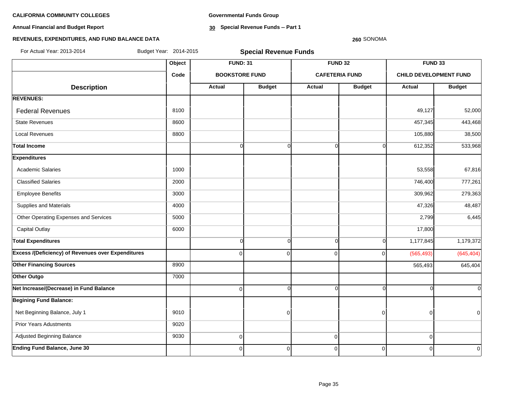**Annual Financial and Budget Report**

**Governmental Funds Group**

**30 Special Revenue Funds -- Part 1**

# **REVENUES, EXPENDITURES, AND FUND BALANCE DATA**

#### **260** SONOMA

| For Actual Year: 2013-2014                                | Budget Year: 2014-2015 | <b>Special Revenue Funds</b> |               |               |                       |                               |                |  |  |  |
|-----------------------------------------------------------|------------------------|------------------------------|---------------|---------------|-----------------------|-------------------------------|----------------|--|--|--|
|                                                           | Object                 | <b>FUND: 31</b>              |               |               | <b>FUND 32</b>        | FUND 33                       |                |  |  |  |
|                                                           | Code                   | <b>BOOKSTORE FUND</b>        |               |               | <b>CAFETERIA FUND</b> | <b>CHILD DEVELOPMENT FUND</b> |                |  |  |  |
| <b>Description</b>                                        |                        | Actual                       | <b>Budget</b> | <b>Actual</b> | <b>Budget</b>         | <b>Actual</b>                 | <b>Budget</b>  |  |  |  |
| <b>REVENUES:</b>                                          |                        |                              |               |               |                       |                               |                |  |  |  |
| <b>Federal Revenues</b>                                   | 8100                   |                              |               |               |                       | 49,127                        | 52,000         |  |  |  |
| <b>State Revenues</b>                                     | 8600                   |                              |               |               |                       | 457,345                       | 443,468        |  |  |  |
| <b>Local Revenues</b>                                     | 8800                   |                              |               |               |                       | 105,880                       | 38,500         |  |  |  |
| <b>Total Income</b>                                       |                        | $\overline{0}$               | $\Omega$      | $\Omega$      | $\Omega$              | 612,352                       | 533,968        |  |  |  |
| <b>Expenditures</b>                                       |                        |                              |               |               |                       |                               |                |  |  |  |
| <b>Academic Salaries</b>                                  | 1000                   |                              |               |               |                       | 53,558                        | 67,816         |  |  |  |
| <b>Classified Salaries</b>                                | 2000                   |                              |               |               |                       | 746,400                       | 777,261        |  |  |  |
| <b>Employee Benefits</b>                                  | 3000                   |                              |               |               |                       | 309,962                       | 279,363        |  |  |  |
| Supplies and Materials                                    | 4000                   |                              |               |               |                       | 47,326                        | 48,487         |  |  |  |
| Other Operating Expenses and Services                     | 5000                   |                              |               |               |                       | 2,799                         | 6,445          |  |  |  |
| <b>Capital Outlay</b>                                     | 6000                   |                              |               |               |                       | 17,800                        |                |  |  |  |
| <b>Total Expenditures</b>                                 |                        | $\overline{0}$               | $\Omega$      | $\Omega$      | $\Omega$              | 1,177,845                     | 1,179,372      |  |  |  |
| <b>Excess /(Deficiency) of Revenues over Expenditures</b> |                        | $\Omega$                     | $\Omega$      | $\Omega$      | $\Omega$              | (565, 493)                    | (645, 404)     |  |  |  |
| <b>Other Financing Sources</b>                            | 8900                   |                              |               |               |                       | 565,493                       | 645,404        |  |  |  |
| Other Outgo                                               | 7000                   |                              |               |               |                       |                               |                |  |  |  |
| Net Increase/(Decrease) in Fund Balance                   |                        | $\overline{0}$               | $\Omega$      | $\Omega$      | $\Omega$              | ſ                             | $\Omega$       |  |  |  |
| <b>Begining Fund Balance:</b>                             |                        |                              |               |               |                       |                               |                |  |  |  |
| Net Beginning Balance, July 1                             | 9010                   |                              | $\Omega$      |               | $\mathbf 0$           | 0                             | $\overline{0}$ |  |  |  |
| <b>Prior Years Adustments</b>                             | 9020                   |                              |               |               |                       |                               |                |  |  |  |
| Adjusted Beginning Balance                                | 9030                   | $\overline{0}$               |               | $\mathbf 0$   |                       | $\pmb{0}$                     |                |  |  |  |
| <b>Ending Fund Balance, June 30</b>                       |                        | $\overline{0}$               | $\Omega$      | 0             | $\mathbf 0$           | $\mathbf 0$                   | 0              |  |  |  |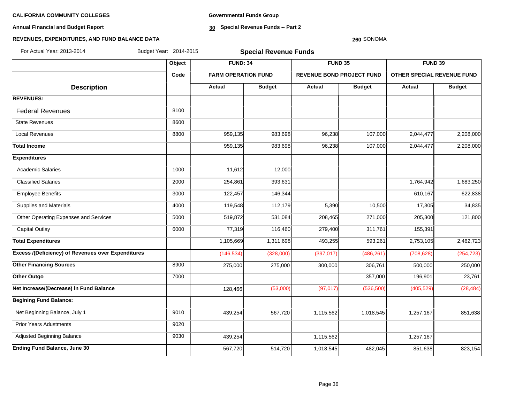**Annual Financial and Budget Report**

**Governmental Funds Group**

**30 Special Revenue Funds -- Part 2**

#### **260** SONOMA

| For Actual Year: 2013-2014                                |        | Budget Year: 2014-2015<br><b>Special Revenue Funds</b> |               |                                  |               |                                   |               |  |
|-----------------------------------------------------------|--------|--------------------------------------------------------|---------------|----------------------------------|---------------|-----------------------------------|---------------|--|
|                                                           | Object | <b>FUND: 34</b>                                        |               | FUND 35                          |               | FUND 39                           |               |  |
|                                                           | Code   | <b>FARM OPERATION FUND</b>                             |               | <b>REVENUE BOND PROJECT FUND</b> |               | <b>OTHER SPECIAL REVENUE FUND</b> |               |  |
| <b>Description</b>                                        |        | <b>Actual</b>                                          | <b>Budget</b> | <b>Actual</b>                    | <b>Budget</b> | Actual                            | <b>Budget</b> |  |
| <b>REVENUES:</b>                                          |        |                                                        |               |                                  |               |                                   |               |  |
| <b>Federal Revenues</b>                                   | 8100   |                                                        |               |                                  |               |                                   |               |  |
| <b>State Revenues</b>                                     | 8600   |                                                        |               |                                  |               |                                   |               |  |
| <b>Local Revenues</b>                                     | 8800   | 959,135                                                | 983,698       | 96,238                           | 107,000       | 2,044,477                         | 2,208,000     |  |
| <b>Total Income</b>                                       |        | 959,135                                                | 983,698       | 96,238                           | 107,000       | 2,044,477                         | 2,208,000     |  |
| <b>Expenditures</b>                                       |        |                                                        |               |                                  |               |                                   |               |  |
| <b>Academic Salaries</b>                                  | 1000   | 11,612                                                 | 12,000        |                                  |               |                                   |               |  |
| <b>Classified Salaries</b>                                | 2000   | 254,861                                                | 393,631       |                                  |               | 1,764,942                         | 1,683,250     |  |
| <b>Employee Benefits</b>                                  | 3000   | 122,457                                                | 146,344       |                                  |               | 610,167                           | 622,838       |  |
| Supplies and Materials                                    | 4000   | 119,548                                                | 112,179       | 5,390                            | 10,500        | 17,305                            | 34,835        |  |
| Other Operating Expenses and Services                     | 5000   | 519,872                                                | 531,084       | 208,465                          | 271,000       | 205,300                           | 121,800       |  |
| <b>Capital Outlay</b>                                     | 6000   | 77,319                                                 | 116,460       | 279,400                          | 311,761       | 155,391                           |               |  |
| <b>Total Expenditures</b>                                 |        | 1,105,669                                              | 1,311,698     | 493,255                          | 593,261       | 2,753,105                         | 2,462,723     |  |
| <b>Excess /(Deficiency) of Revenues over Expenditures</b> |        | (146, 534)                                             | (328,000)     | (397, 017)                       | (486, 261)    | (708, 628)                        | (254, 723)    |  |
| <b>Other Financing Sources</b>                            | 8900   | 275,000                                                | 275,000       | 300,000                          | 306,761       | 500,000                           | 250,000       |  |
| Other Outgo                                               | 7000   |                                                        |               |                                  | 357,000       | 196,901                           | 23,761        |  |
| Net Increase/(Decrease) in Fund Balance                   |        | 128,466                                                | (53,000)      | (97, 017)                        | (536, 500)    | (405, 529)                        | (28, 484)     |  |
| <b>Begining Fund Balance:</b>                             |        |                                                        |               |                                  |               |                                   |               |  |
| Net Beginning Balance, July 1                             | 9010   | 439,254                                                | 567,720       | 1,115,562                        | 1,018,545     | 1,257,167                         | 851,638       |  |
| <b>Prior Years Adustments</b>                             | 9020   |                                                        |               |                                  |               |                                   |               |  |
| Adjusted Beginning Balance                                | 9030   | 439,254                                                |               | 1,115,562                        |               | 1,257,167                         |               |  |
| <b>Ending Fund Balance, June 30</b>                       |        | 567,720                                                | 514,720       | 1,018,545                        | 482,045       | 851,638                           | 823,154       |  |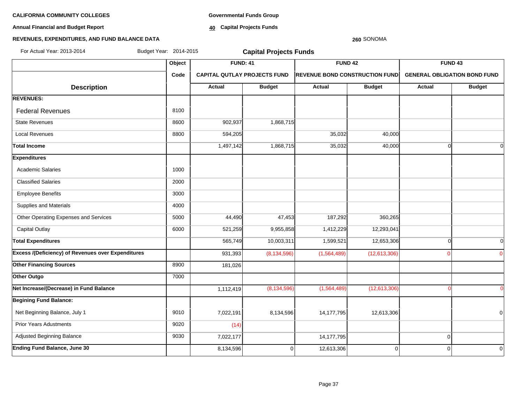**Annual Financial and Budget Report**

**Governmental Funds Group**

**40 Capital Projects Funds**

### **260** SONOMA

| For Actual Year: 2013-2014                                | Budget Year: 2014-2015 | <b>Capital Projects Funds</b> |                                     |                |                                |                |                                     |  |  |  |  |
|-----------------------------------------------------------|------------------------|-------------------------------|-------------------------------------|----------------|--------------------------------|----------------|-------------------------------------|--|--|--|--|
|                                                           | Object                 | <b>FUND: 41</b>               |                                     | <b>FUND 42</b> |                                |                | FUND <sub>43</sub>                  |  |  |  |  |
|                                                           | Code                   |                               | <b>CAPITAL QUTLAY PROJECTS FUND</b> |                | REVENUE BOND CONSTRUCTION FUND |                | <b>GENERAL OBLIGATION BOND FUND</b> |  |  |  |  |
| <b>Description</b>                                        |                        | <b>Actual</b>                 | <b>Budget</b>                       | Actual         | <b>Budget</b>                  | Actual         | <b>Budget</b>                       |  |  |  |  |
| <b>REVENUES:</b>                                          |                        |                               |                                     |                |                                |                |                                     |  |  |  |  |
| <b>Federal Revenues</b>                                   | 8100                   |                               |                                     |                |                                |                |                                     |  |  |  |  |
| <b>State Revenues</b>                                     | 8600                   | 902,937                       | 1,868,715                           |                |                                |                |                                     |  |  |  |  |
| <b>Local Revenues</b>                                     | 8800                   | 594,205                       |                                     | 35,032         | 40,000                         |                |                                     |  |  |  |  |
| <b>Total Income</b>                                       |                        | 1,497,142                     | 1,868,715                           | 35,032         | 40,000                         | $\Omega$       | $\Omega$                            |  |  |  |  |
| <b>Expenditures</b>                                       |                        |                               |                                     |                |                                |                |                                     |  |  |  |  |
| <b>Academic Salaries</b>                                  | 1000                   |                               |                                     |                |                                |                |                                     |  |  |  |  |
| <b>Classified Salaries</b>                                | 2000                   |                               |                                     |                |                                |                |                                     |  |  |  |  |
| <b>Employee Benefits</b>                                  | 3000                   |                               |                                     |                |                                |                |                                     |  |  |  |  |
| Supplies and Materials                                    | 4000                   |                               |                                     |                |                                |                |                                     |  |  |  |  |
| Other Operating Expenses and Services                     | 5000                   | 44,490                        | 47,453                              | 187,292        | 360,265                        |                |                                     |  |  |  |  |
| <b>Capital Outlay</b>                                     | 6000                   | 521,259                       | 9,955,858                           | 1,412,229      | 12,293,041                     |                |                                     |  |  |  |  |
| <b>Total Expenditures</b>                                 |                        | 565,749                       | 10,003,311                          | 1,599,521      | 12,653,306                     | $\Omega$       | $\Omega$                            |  |  |  |  |
| <b>Excess /(Deficiency) of Revenues over Expenditures</b> |                        | 931,393                       | (8, 134, 596)                       | (1,564,489)    | (12,613,306)                   |                | $\Omega$                            |  |  |  |  |
| <b>Other Financing Sources</b>                            | 8900                   | 181,026                       |                                     |                |                                |                |                                     |  |  |  |  |
| Other Outgo                                               | 7000                   |                               |                                     |                |                                |                |                                     |  |  |  |  |
| Net Increase/(Decrease) in Fund Balance                   |                        | 1,112,419                     | (8, 134, 596)                       | (1, 564, 489)  | (12,613,306)                   |                | $\Omega$                            |  |  |  |  |
| <b>Begining Fund Balance:</b>                             |                        |                               |                                     |                |                                |                |                                     |  |  |  |  |
| Net Beginning Balance, July 1                             | 9010                   | 7,022,191                     | 8,134,596                           | 14, 177, 795   | 12,613,306                     |                | 0                                   |  |  |  |  |
| <b>Prior Years Adustments</b>                             | 9020                   | (14)                          |                                     |                |                                |                |                                     |  |  |  |  |
| Adjusted Beginning Balance                                | 9030                   | 7,022,177                     |                                     | 14, 177, 795   |                                | $\overline{0}$ |                                     |  |  |  |  |
| <b>Ending Fund Balance, June 30</b>                       |                        | 8,134,596                     | 0                                   | 12,613,306     | 0                              | $\overline{0}$ | 0                                   |  |  |  |  |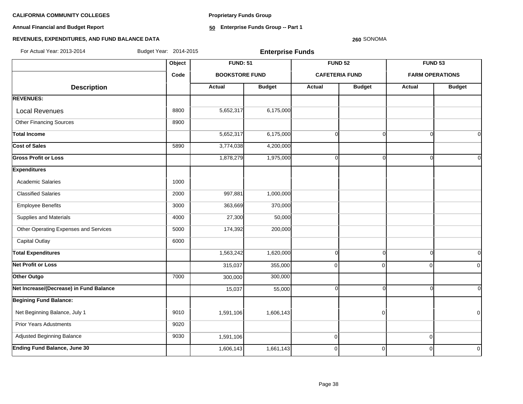**Proprietary Funds Group**

**Annual Financial and Budget Report**

**50 Enterprise Funds Group -- Part 1**

# **REVENUES, EXPENDITURES, AND FUND BALANCE DATA**

### **260** SONOMA

For Actual Year: 2013-2014 Budget Year: 2014-2015 **Enterprise Funds**

|                                         |      | Object<br><b>FUND: 51</b> |               |             | <b>FUND 52</b>        | <b>FUND 53</b>         |                |
|-----------------------------------------|------|---------------------------|---------------|-------------|-----------------------|------------------------|----------------|
|                                         | Code | <b>BOOKSTORE FUND</b>     |               |             | <b>CAFETERIA FUND</b> | <b>FARM OPERATIONS</b> |                |
| <b>Description</b>                      |      | <b>Actual</b>             | <b>Budget</b> | Actual      | <b>Budget</b>         | <b>Actual</b>          | <b>Budget</b>  |
| <b>REVENUES:</b>                        |      |                           |               |             |                       |                        |                |
| <b>Local Revenues</b>                   | 8800 | 5,652,317                 | 6,175,000     |             |                       |                        |                |
| <b>Other Financing Sources</b>          | 8900 |                           |               |             |                       |                        |                |
| <b>Total Income</b>                     |      | 5,652,317                 | 6,175,000     | $\Omega$    | $\Omega$              | $\Omega$               | $\Omega$       |
| Cost of Sales                           | 5890 | 3,774,038                 | 4,200,000     |             |                       |                        |                |
| <b>Gross Profit or Loss</b>             |      | 1,878,279                 | 1,975,000     | $\Omega$    | $\Omega$              | ∩                      | $\Omega$       |
| <b>Expenditures</b>                     |      |                           |               |             |                       |                        |                |
| <b>Academic Salaries</b>                | 1000 |                           |               |             |                       |                        |                |
| <b>Classified Salaries</b>              | 2000 | 997,881                   | 1,000,000     |             |                       |                        |                |
| <b>Employee Benefits</b>                | 3000 | 363,669                   | 370,000       |             |                       |                        |                |
| Supplies and Materials                  | 4000 | 27,300                    | 50,000        |             |                       |                        |                |
| Other Operating Expenses and Services   | 5000 | 174,392                   | 200,000       |             |                       |                        |                |
| <b>Capital Outlay</b>                   | 6000 |                           |               |             |                       |                        |                |
| <b>Total Expenditures</b>               |      | 1,563,242                 | 1,620,000     | $\Omega$    | $\Omega$              | $\Omega$               | $\overline{0}$ |
| <b>Net Profit or Loss</b>               |      | 315,037                   | 355,000       | $\mathbf 0$ | $\Omega$              | $\Omega$               | $\Omega$       |
| Other Outgo                             | 7000 | 300,000                   | 300,000       |             |                       |                        |                |
| Net Increase/(Decrease) in Fund Balance |      | 15,037                    | 55,000        | $\Omega$    | $\Omega$              | $\Omega$               | $\overline{0}$ |
| <b>Begining Fund Balance:</b>           |      |                           |               |             |                       |                        |                |
| Net Beginning Balance, July 1           | 9010 | 1,591,106                 | 1,606,143     |             | $\overline{0}$        |                        | $\Omega$       |
| <b>Prior Years Adustments</b>           | 9020 |                           |               |             |                       |                        |                |
| Adjusted Beginning Balance              | 9030 | 1,591,106                 |               | $\mathbf 0$ |                       | $\Omega$               |                |
| <b>Ending Fund Balance, June 30</b>     |      | 1,606,143                 | 1,661,143     | $\mathbf 0$ | $\Omega$              | $\Omega$               | $\Omega$       |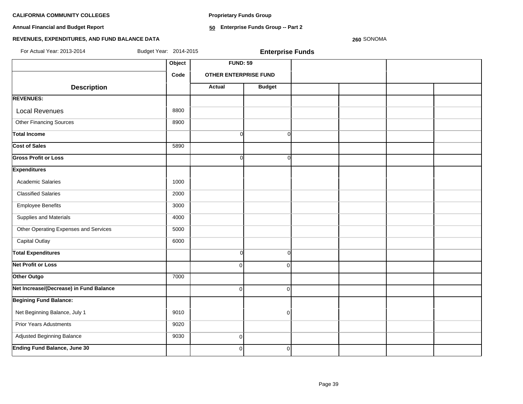**Proprietary Funds Group**

**Annual Financial and Budget Report**

**50 Enterprise Funds Group -- Part 2**

# **REVENUES, EXPENDITURES, AND FUND BALANCE DATA**

**260** SONOMA

| For Actual Year: 2013-2014              | Budget Year: 2014-2015 | <b>Enterprise Funds</b>      |                |  |  |  |  |  |  |
|-----------------------------------------|------------------------|------------------------------|----------------|--|--|--|--|--|--|
|                                         | Object                 | <b>FUND: 59</b>              |                |  |  |  |  |  |  |
|                                         | Code                   | <b>OTHER ENTERPRISE FUND</b> |                |  |  |  |  |  |  |
| <b>Description</b>                      |                        | <b>Actual</b>                | <b>Budget</b>  |  |  |  |  |  |  |
| <b>REVENUES:</b>                        |                        |                              |                |  |  |  |  |  |  |
| <b>Local Revenues</b>                   | 8800                   |                              |                |  |  |  |  |  |  |
| <b>Other Financing Sources</b>          | 8900                   |                              |                |  |  |  |  |  |  |
| <b>Total Income</b>                     |                        | $\Omega$                     | $\Omega$       |  |  |  |  |  |  |
| <b>Cost of Sales</b>                    | 5890                   |                              |                |  |  |  |  |  |  |
| <b>Gross Profit or Loss</b>             |                        | $\Omega$                     | $\Omega$       |  |  |  |  |  |  |
| <b>Expenditures</b>                     |                        |                              |                |  |  |  |  |  |  |
| <b>Academic Salaries</b>                | 1000                   |                              |                |  |  |  |  |  |  |
| <b>Classified Salaries</b>              | 2000                   |                              |                |  |  |  |  |  |  |
| <b>Employee Benefits</b>                | 3000                   |                              |                |  |  |  |  |  |  |
| Supplies and Materials                  | 4000                   |                              |                |  |  |  |  |  |  |
| Other Operating Expenses and Services   | 5000                   |                              |                |  |  |  |  |  |  |
| <b>Capital Outlay</b>                   | 6000                   |                              |                |  |  |  |  |  |  |
| <b>Total Expenditures</b>               |                        | $\Omega$                     | $\Omega$       |  |  |  |  |  |  |
| <b>Net Profit or Loss</b>               |                        | $\Omega$                     | $\Omega$       |  |  |  |  |  |  |
| Other Outgo                             | 7000                   |                              |                |  |  |  |  |  |  |
| Net Increase/(Decrease) in Fund Balance |                        | $\Omega$                     | $\Omega$       |  |  |  |  |  |  |
| <b>Begining Fund Balance:</b>           |                        |                              |                |  |  |  |  |  |  |
| Net Beginning Balance, July 1           | 9010                   |                              | $\overline{0}$ |  |  |  |  |  |  |
| <b>Prior Years Adustments</b>           | 9020                   |                              |                |  |  |  |  |  |  |
| Adjusted Beginning Balance              | 9030                   | $\overline{0}$               |                |  |  |  |  |  |  |
| <b>Ending Fund Balance, June 30</b>     |                        | $\mathbf{0}$                 | $\overline{0}$ |  |  |  |  |  |  |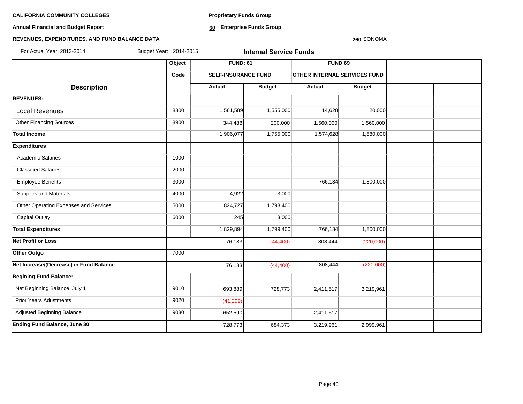**Annual Financial and Budget Report**

**Proprietary Funds Group**

**60 Enterprise Funds Group** 

## **REVENUES, EXPENDITURES, AND FUND BALANCE DATA**

#### **260** SONOMA

| For Actual Year: 2013-2014              | Budget Year: 2014-2015 |                            | <b>Internal Service Funds</b> |                                     |               |  |  |  |
|-----------------------------------------|------------------------|----------------------------|-------------------------------|-------------------------------------|---------------|--|--|--|
|                                         | Object                 | <b>FUND: 61</b>            |                               | <b>FUND 69</b>                      |               |  |  |  |
|                                         | Code                   | <b>SELF-INSURANCE FUND</b> |                               | <b>OTHER INTERNAL SERVICES FUND</b> |               |  |  |  |
| <b>Description</b>                      |                        | <b>Actual</b>              | <b>Budget</b>                 | Actual                              | <b>Budget</b> |  |  |  |
| <b>REVENUES:</b>                        |                        |                            |                               |                                     |               |  |  |  |
| <b>Local Revenues</b>                   | 8800                   | 1,561,589                  | 1,555,000                     | 14,628                              | 20,000        |  |  |  |
| <b>Other Financing Sources</b>          | 8900                   | 344,488                    | 200,000                       | 1,560,000                           | 1,560,000     |  |  |  |
| <b>Total Income</b>                     |                        | 1,906,077                  | 1,755,000                     | 1,574,628                           | 1,580,000     |  |  |  |
| <b>Expenditures</b>                     |                        |                            |                               |                                     |               |  |  |  |
| <b>Academic Salaries</b>                | 1000                   |                            |                               |                                     |               |  |  |  |
| <b>Classified Salaries</b>              | 2000                   |                            |                               |                                     |               |  |  |  |
| <b>Employee Benefits</b>                | 3000                   |                            |                               | 766,184                             | 1,800,000     |  |  |  |
| Supplies and Materials                  | 4000                   | 4,922                      | 3,000                         |                                     |               |  |  |  |
| Other Operating Expenses and Services   | 5000                   | 1,824,727                  | 1,793,400                     |                                     |               |  |  |  |
| <b>Capital Outlay</b>                   | 6000                   | 245                        | 3,000                         |                                     |               |  |  |  |
| <b>Total Expenditures</b>               |                        | 1,829,894                  | 1,799,400                     | 766,184                             | 1,800,000     |  |  |  |
| <b>Net Profit or Loss</b>               |                        | 76,183                     | (44, 400)                     | 808,444                             | (220,000)     |  |  |  |
| Other Outgo                             | 7000                   |                            |                               |                                     |               |  |  |  |
| Net Increase/(Decrease) in Fund Balance |                        | 76,183                     | (44, 400)                     | 808,444                             | (220,000)     |  |  |  |
| <b>Begining Fund Balance:</b>           |                        |                            |                               |                                     |               |  |  |  |
| Net Beginning Balance, July 1           | 9010                   | 693,889                    | 728,773                       | 2,411,517                           | 3,219,961     |  |  |  |
| <b>Prior Years Adustments</b>           | 9020                   | (41, 299)                  |                               |                                     |               |  |  |  |
| Adjusted Beginning Balance              | 9030                   | 652,590                    |                               | 2,411,517                           |               |  |  |  |
| <b>Ending Fund Balance, June 30</b>     |                        | 728,773                    | 684,373                       | 3,219,961                           | 2,999,961     |  |  |  |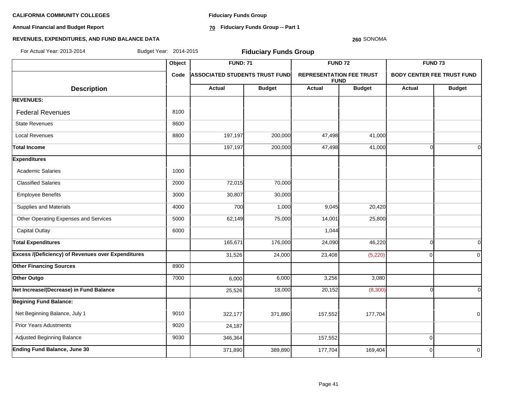**Annual Financial and Budget Report**

**Fiduciary Funds Group**

**70 Fiduciary Funds Group -- Part 1**

#### **260** SONOMA

| For Actual Year: 2013-2014                         |        | Budget Year: 2014-2015<br><b>Fiduciary Funds Group</b> |                                       |                |                                                |                |                                   |  |  |  |
|----------------------------------------------------|--------|--------------------------------------------------------|---------------------------------------|----------------|------------------------------------------------|----------------|-----------------------------------|--|--|--|
|                                                    | Object | <b>FUND: 71</b>                                        |                                       | <b>FUND 72</b> |                                                |                | FUND <sub>73</sub>                |  |  |  |
|                                                    | Code   |                                                        | <b>ASSOCIATED STUDENTS TRUST FUND</b> |                | <b>REPRESENTATION FEE TRUST</b><br><b>FUND</b> |                | <b>BODY CENTER FEE TRUST FUND</b> |  |  |  |
| <b>Description</b>                                 |        | Actual                                                 | <b>Budget</b>                         | <b>Actual</b>  | <b>Budget</b>                                  | Actual         | <b>Budget</b>                     |  |  |  |
| <b>REVENUES:</b>                                   |        |                                                        |                                       |                |                                                |                |                                   |  |  |  |
| <b>Federal Revenues</b>                            | 8100   |                                                        |                                       |                |                                                |                |                                   |  |  |  |
| <b>State Revenues</b>                              | 8600   |                                                        |                                       |                |                                                |                |                                   |  |  |  |
| <b>Local Revenues</b>                              | 8800   | 197,197                                                | 200,000                               | 47,498         | 41,000                                         |                |                                   |  |  |  |
| <b>Total Income</b>                                |        | 197,197                                                | 200,000                               | 47,498         | 41,000                                         | $\Omega$       | $\overline{0}$                    |  |  |  |
| <b>Expenditures</b>                                |        |                                                        |                                       |                |                                                |                |                                   |  |  |  |
| <b>Academic Salaries</b>                           | 1000   |                                                        |                                       |                |                                                |                |                                   |  |  |  |
| <b>Classified Salaries</b>                         | 2000   | 72,015                                                 | 70,000                                |                |                                                |                |                                   |  |  |  |
| <b>Employee Benefits</b>                           | 3000   | 30,807                                                 | 30,000                                |                |                                                |                |                                   |  |  |  |
| Supplies and Materials                             | 4000   | 700                                                    | 1,000                                 | 9,045          | 20,420                                         |                |                                   |  |  |  |
| Other Operating Expenses and Services              | 5000   | 62,149                                                 | 75,000                                | 14,001         | 25,800                                         |                |                                   |  |  |  |
| <b>Capital Outlay</b>                              | 6000   |                                                        |                                       | 1,044          |                                                |                |                                   |  |  |  |
| <b>Total Expenditures</b>                          |        | 165,671                                                | 176,000                               | 24,090         | 46,220                                         | $\Omega$       | $\overline{0}$                    |  |  |  |
| Excess /(Deficiency) of Revenues over Expenditures |        | 31,526                                                 | 24,000                                | 23,408         | (5, 220)                                       | $\Omega$       | $\overline{0}$                    |  |  |  |
| <b>Other Financing Sources</b>                     | 8900   |                                                        |                                       |                |                                                |                |                                   |  |  |  |
| Other Outgo                                        | 7000   | 6,000                                                  | 6,000                                 | 3,256          | 3,080                                          |                |                                   |  |  |  |
| Net Increase/(Decrease) in Fund Balance            |        | 25,526                                                 | 18,000                                | 20,152         | (8,300)                                        | ∩              | $\Omega$                          |  |  |  |
| <b>Begining Fund Balance:</b>                      |        |                                                        |                                       |                |                                                |                |                                   |  |  |  |
| Net Beginning Balance, July 1                      | 9010   | 322,177                                                | 371,890                               | 157,552        | 177,704                                        |                | $\overline{0}$                    |  |  |  |
| <b>Prior Years Adustments</b>                      | 9020   | 24,187                                                 |                                       |                |                                                |                |                                   |  |  |  |
| Adjusted Beginning Balance                         | 9030   | 346,364                                                |                                       | 157,552        |                                                | $\overline{0}$ |                                   |  |  |  |
| <b>Ending Fund Balance, June 30</b>                |        | 371,890                                                | 389,890                               | 177,704        | 169,404                                        | $\Omega$       | $\overline{0}$                    |  |  |  |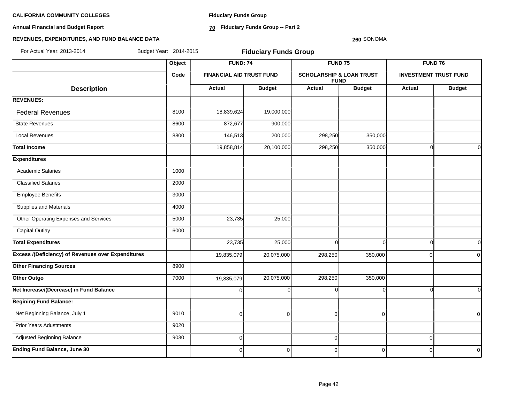**Annual Financial and Budget Report**

**Fiduciary Funds Group**

**70 Fiduciary Funds Group -- Part 2**

#### **260** SONOMA

| For Actual Year: 2013-2014                                | Budget Year: 2014-2015 | <b>Fiduciary Funds Group</b>    |               |                                     |                    |             |                              |
|-----------------------------------------------------------|------------------------|---------------------------------|---------------|-------------------------------------|--------------------|-------------|------------------------------|
|                                                           | Object                 | <b>FUND: 74</b>                 |               |                                     | FUND <sub>75</sub> |             | FUND 76                      |
|                                                           | Code                   | <b>FINANCIAL AID TRUST FUND</b> |               | <b>SCHOLARSHIP &amp; LOAN TRUST</b> | <b>FUND</b>        |             | <b>INVESTMENT TRUST FUND</b> |
| <b>Description</b>                                        |                        | <b>Actual</b>                   | <b>Budget</b> | <b>Actual</b>                       | <b>Budget</b>      | Actual      | <b>Budget</b>                |
| <b>REVENUES:</b>                                          |                        |                                 |               |                                     |                    |             |                              |
| <b>Federal Revenues</b>                                   | 8100                   | 18,839,624                      | 19,000,000    |                                     |                    |             |                              |
| <b>State Revenues</b>                                     | 8600                   | 872,677                         | 900,000       |                                     |                    |             |                              |
| <b>Local Revenues</b>                                     | 8800                   | 146,513                         | 200,000       | 298,250                             | 350,000            |             |                              |
| Total Income                                              |                        | 19,858,814                      | 20,100,000    | 298,250                             | 350,000            | ∩           | $\Omega$                     |
| <b>Expenditures</b>                                       |                        |                                 |               |                                     |                    |             |                              |
| <b>Academic Salaries</b>                                  | 1000                   |                                 |               |                                     |                    |             |                              |
| <b>Classified Salaries</b>                                | 2000                   |                                 |               |                                     |                    |             |                              |
| <b>Employee Benefits</b>                                  | 3000                   |                                 |               |                                     |                    |             |                              |
| Supplies and Materials                                    | 4000                   |                                 |               |                                     |                    |             |                              |
| Other Operating Expenses and Services                     | 5000                   | 23,735                          | 25,000        |                                     |                    |             |                              |
| <b>Capital Outlay</b>                                     | 6000                   |                                 |               |                                     |                    |             |                              |
| <b>Total Expenditures</b>                                 |                        | 23,735                          | 25,000        | $\Omega$                            | $\Omega$           | $\Omega$    | $\Omega$                     |
| <b>Excess /(Deficiency) of Revenues over Expenditures</b> |                        | 19,835,079                      | 20,075,000    | 298,250                             | 350,000            | $\Omega$    | $\Omega$                     |
| <b>Other Financing Sources</b>                            | 8900                   |                                 |               |                                     |                    |             |                              |
| Other Outgo                                               | 7000                   | 19,835,079                      | 20,075,000    | 298,250                             | 350,000            |             |                              |
| Net Increase/(Decrease) in Fund Balance                   |                        | $\Omega$                        | $\Omega$      | $\Omega$                            |                    | ſ           | $\Omega$                     |
| <b>Begining Fund Balance:</b>                             |                        |                                 |               |                                     |                    |             |                              |
| Net Beginning Balance, July 1                             | 9010                   | $\mathbf 0$                     | $\Omega$      | 0                                   | $\Omega$           |             | $\Omega$                     |
| <b>Prior Years Adustments</b>                             | 9020                   |                                 |               |                                     |                    |             |                              |
| Adjusted Beginning Balance                                | 9030                   | $\mathbf 0$                     |               | 0                                   |                    | $\mathbf 0$ |                              |
| <b>Ending Fund Balance, June 30</b>                       |                        | 0                               | $\Omega$      | 0                                   | $\mathbf 0$        | $\Omega$    | $\overline{0}$               |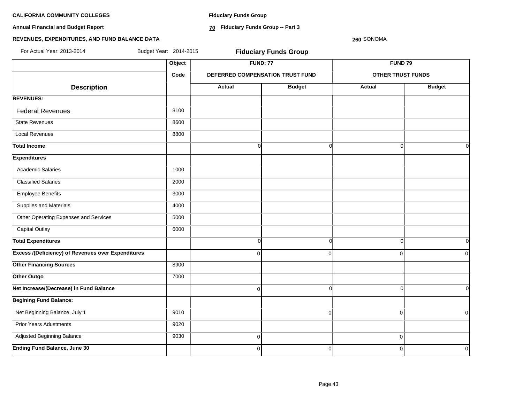**Annual Financial and Budget Report**

**Fiduciary Funds Group**

**70 Fiduciary Funds Group -- Part 3**

**260** SONOMA

| For Actual Year: 2013-2014                                | Budget Year: 2014-2015 |                | <b>Fiduciary Funds Group</b>     |                          |                |
|-----------------------------------------------------------|------------------------|----------------|----------------------------------|--------------------------|----------------|
|                                                           | Object                 |                | <b>FUND: 77</b>                  | <b>FUND 79</b>           |                |
|                                                           | Code                   |                | DEFERRED COMPENSATION TRUST FUND | <b>OTHER TRUST FUNDS</b> |                |
| <b>Description</b>                                        |                        | Actual         | <b>Budget</b>                    | <b>Actual</b>            | <b>Budget</b>  |
| <b>REVENUES:</b>                                          |                        |                |                                  |                          |                |
| <b>Federal Revenues</b>                                   | 8100                   |                |                                  |                          |                |
| <b>State Revenues</b>                                     | 8600                   |                |                                  |                          |                |
| <b>Local Revenues</b>                                     | 8800                   |                |                                  |                          |                |
| <b>Total Income</b>                                       |                        | $\overline{0}$ | $\overline{0}$                   | $\Omega$                 | 0l             |
| <b>Expenditures</b>                                       |                        |                |                                  |                          |                |
| <b>Academic Salaries</b>                                  | 1000                   |                |                                  |                          |                |
| <b>Classified Salaries</b>                                | 2000                   |                |                                  |                          |                |
| <b>Employee Benefits</b>                                  | 3000                   |                |                                  |                          |                |
| Supplies and Materials                                    | 4000                   |                |                                  |                          |                |
| Other Operating Expenses and Services                     | 5000                   |                |                                  |                          |                |
| <b>Capital Outlay</b>                                     | 6000                   |                |                                  |                          |                |
| <b>Total Expenditures</b>                                 |                        | $\overline{0}$ | $\overline{0}$                   | $\overline{0}$           | 0l             |
| <b>Excess /(Deficiency) of Revenues over Expenditures</b> |                        | $\Omega$       | $\Omega$                         | $\Omega$                 | $\Omega$       |
| <b>Other Financing Sources</b>                            | 8900                   |                |                                  |                          |                |
| Other Outgo                                               | 7000                   |                |                                  |                          |                |
| Net Increase/(Decrease) in Fund Balance                   |                        | $\overline{0}$ | $\Omega$                         | $\Omega$                 | ΩI             |
| <b>Begining Fund Balance:</b>                             |                        |                |                                  |                          |                |
| Net Beginning Balance, July 1                             | 9010                   |                | $\Omega$                         | $\overline{0}$           | $\overline{0}$ |
| <b>Prior Years Adustments</b>                             | 9020                   |                |                                  |                          |                |
| Adjusted Beginning Balance                                | 9030                   | $\overline{0}$ |                                  | $\mathbf 0$              |                |
| <b>Ending Fund Balance, June 30</b>                       |                        | $\overline{0}$ | $\Omega$                         | $\mathbf 0$              | $\mathbf 0$    |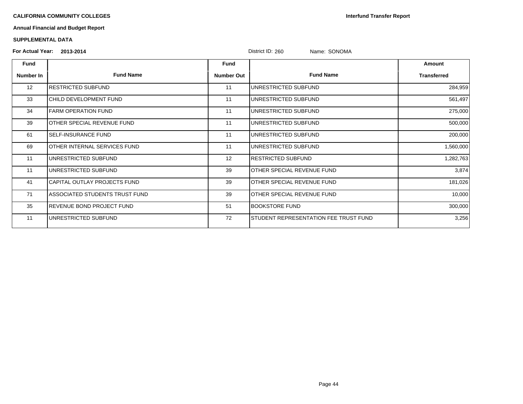**Interfund Transfer Report**

# **Annual Financial and Budget Report**

### **SUPPLEMENTAL DATA**

| <b>For Actual Year:</b> | 2013-2014                         |                   | District ID: 260<br>Name: SONOMA      |                    |
|-------------------------|-----------------------------------|-------------------|---------------------------------------|--------------------|
| <b>Fund</b>             |                                   | Fund              |                                       | Amount             |
| Number In               | <b>Fund Name</b>                  | <b>Number Out</b> | <b>Fund Name</b>                      | <b>Transferred</b> |
| 12                      | RESTRICTED SUBFUND                | 11                | UNRESTRICTED SUBFUND                  | 284,959            |
| 33                      | CHILD DEVELOPMENT FUND            | 11                | UNRESTRICTED SUBFUND                  | 561,497            |
| 34                      | <b>FARM OPERATION FUND</b>        | 11                | UNRESTRICTED SUBFUND                  | 275,000            |
| 39                      | OTHER SPECIAL REVENUE FUND        | 11                | UNRESTRICTED SUBFUND                  | 500,000            |
| 61                      | <b>SELF-INSURANCE FUND</b>        | 11                | UNRESTRICTED SUBFUND                  | 200,000            |
| 69                      | OTHER INTERNAL SERVICES FUND      | 11                | UNRESTRICTED SUBFUND                  | 1,560,000          |
| 11                      | UNRESTRICTED SUBFUND              | 12                | <b>RESTRICTED SUBFUND</b>             | 1,282,763          |
| 11                      | UNRESTRICTED SUBFUND              | 39                | OTHER SPECIAL REVENUE FUND            | 3,874              |
| 41                      | CAPITAL OUTLAY PROJECTS FUND      | 39                | OTHER SPECIAL REVENUE FUND            | 181,026            |
| 71                      | ASSOCIATED STUDENTS TRUST FUND    | 39                | OTHER SPECIAL REVENUE FUND            | 10,000             |
| 35                      | <b>IREVENUE BOND PROJECT FUND</b> | 51                | BOOKSTORE FUND                        | 300,000            |
| 11                      | UNRESTRICTED SUBFUND              | 72                | STUDENT REPRESENTATION FEE TRUST FUND | 3,256              |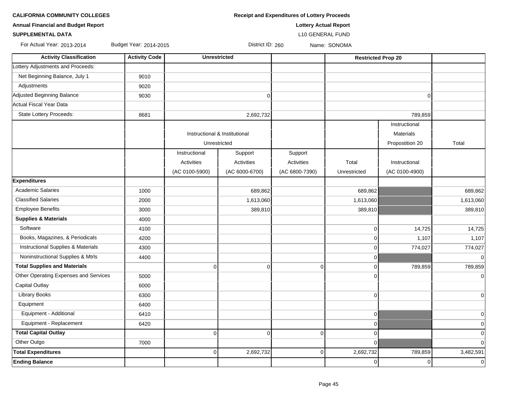| <b>Annual Financial and Budget Report</b>     |                        | <b>Lottery Actual Report</b> |                               |                         |              |                           |             |  |  |  |  |
|-----------------------------------------------|------------------------|------------------------------|-------------------------------|-------------------------|--------------|---------------------------|-------------|--|--|--|--|
| <b>SUPPLEMENTAL DATA</b>                      |                        |                              |                               | <b>L10 GENERAL FUND</b> |              |                           |             |  |  |  |  |
| For Actual Year: 2013-2014                    | Budget Year: 2014-2015 |                              | District ID: 260              |                         | Name: SONOMA |                           |             |  |  |  |  |
| <b>Activity Classification</b>                | <b>Activity Code</b>   |                              | <b>Unrestricted</b>           |                         |              | <b>Restricted Prop 20</b> |             |  |  |  |  |
| Lottery Adjustments and Proceeds:             |                        |                              |                               |                         |              |                           |             |  |  |  |  |
| Net Beginning Balance, July 1                 | 9010                   |                              |                               |                         |              |                           |             |  |  |  |  |
| Adjustments                                   | 9020                   |                              |                               |                         |              |                           |             |  |  |  |  |
| Adjusted Beginning Balance                    | 9030                   |                              | $\mathbf 0$                   |                         |              | $\Omega$                  |             |  |  |  |  |
| Actual Fiscal Year Data                       |                        |                              |                               |                         |              |                           |             |  |  |  |  |
| State Lottery Proceeds:                       | 8681                   |                              | 2,692,732                     |                         |              | 789,859                   |             |  |  |  |  |
|                                               |                        |                              |                               |                         |              | Instructional             |             |  |  |  |  |
|                                               |                        |                              | Instructional & Institutional |                         |              | Materials                 |             |  |  |  |  |
|                                               |                        |                              | Unrestricted                  |                         |              | Propostition 20           | Total       |  |  |  |  |
|                                               |                        | Instructional                | Support                       | Support                 |              |                           |             |  |  |  |  |
|                                               |                        | Activities                   | Activities                    | Activities              | Total        | Instructional             |             |  |  |  |  |
|                                               |                        | (AC 0100-5900)               | (AC 6000-6700)                | (AC 6800-7390)          | Unrestricted | (AC 0100-4900)            |             |  |  |  |  |
| <b>Expenditures</b>                           |                        |                              |                               |                         |              |                           |             |  |  |  |  |
| <b>Academic Salaries</b>                      | 1000                   |                              | 689,862                       |                         | 689,862      |                           | 689,862     |  |  |  |  |
| <b>Classified Salaries</b>                    | 2000                   |                              | 1,613,060                     |                         | 1,613,060    |                           | 1,613,060   |  |  |  |  |
| <b>Employee Benefits</b>                      | 3000                   |                              | 389,810                       |                         | 389,810      |                           | 389,810     |  |  |  |  |
| <b>Supplies &amp; Materials</b>               | 4000                   |                              |                               |                         |              |                           |             |  |  |  |  |
| Software                                      | 4100                   |                              |                               |                         | $\mathbf 0$  | 14,725                    | 14,725      |  |  |  |  |
| Books, Magazines, & Periodicals               | 4200                   |                              |                               |                         | $\mathbf 0$  | 1,107                     | 1,107       |  |  |  |  |
| <b>Instructional Supplies &amp; Materials</b> | 4300                   |                              |                               |                         | $\mathbf 0$  | 774,027                   | 774,027     |  |  |  |  |
| Noninstructional Supplies & Mtrls             | 4400                   |                              |                               |                         | $\mathbf 0$  |                           | $\Omega$    |  |  |  |  |
| <b>Total Supplies and Materials</b>           |                        | $\overline{0}$               | $\mathbf 0$                   | $\mathbf 0$             | $\mathbf 0$  | 789,859                   | 789,859     |  |  |  |  |
| Other Operating Expenses and Services         | 5000                   |                              |                               |                         | $\mathbf 0$  |                           | 0           |  |  |  |  |
| <b>Capital Outlay</b>                         | 6000                   |                              |                               |                         |              |                           |             |  |  |  |  |
| <b>Library Books</b>                          | 6300                   |                              |                               |                         | 0            |                           | $\mathbf 0$ |  |  |  |  |
| Equipment                                     | 6400                   |                              |                               |                         |              |                           |             |  |  |  |  |
| Equipment - Additional                        | 6410                   |                              |                               |                         | $\pmb{0}$    |                           | 0           |  |  |  |  |
| Equipment - Replacement                       | 6420                   |                              |                               |                         | $\mathbf 0$  |                           | $\Omega$    |  |  |  |  |
| <b>Total Capital Outlay</b>                   |                        | $\overline{0}$               | $\mathbf 0$                   | $\Omega$                | 0            |                           | $\Omega$    |  |  |  |  |
| Other Outgo                                   | 7000                   |                              |                               |                         | $\mathbf 0$  |                           | $\Omega$    |  |  |  |  |
| <b>Total Expenditures</b>                     |                        | $\overline{0}$               | 2,692,732                     | $\Omega$                | 2,692,732    | 789,859                   | 3,482,591   |  |  |  |  |
| <b>Ending Balance</b>                         |                        |                              |                               |                         | $\pmb{0}$    | $\Omega$                  | $\Omega$    |  |  |  |  |

**CALIFORNIA COMMUNITY COLLEGES Receipt and Expenditures of Lottery Proceeds**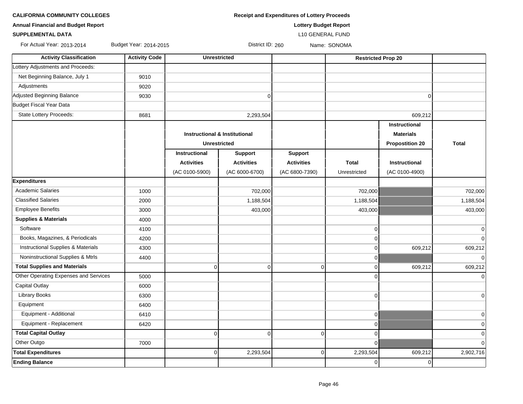| <b>Receipt and Expenditures of Lottery Proceeds</b> |
|-----------------------------------------------------|
|                                                     |

**Annual Financial and Budget Report Lottery Budget Report**

**SUPPLEMENTAL DATA** L10 GENERAL FUND

For Actual Year: 2013-2014 Budget Year: 2014-2015 District ID: 260 Name: SONOMA

| <b>Activity Classification</b>                | <b>Activity Code</b> | <b>Unrestricted</b>                                             |                   |                   | <b>Restricted Prop 20</b> |                        |                |
|-----------------------------------------------|----------------------|-----------------------------------------------------------------|-------------------|-------------------|---------------------------|------------------------|----------------|
| Lottery Adjustments and Proceeds:             |                      |                                                                 |                   |                   |                           |                        |                |
| Net Beginning Balance, July 1                 | 9010                 |                                                                 |                   |                   |                           |                        |                |
| Adjustments                                   | 9020                 |                                                                 |                   |                   |                           |                        |                |
| Adjusted Beginning Balance                    | 9030                 |                                                                 | $\mathbf 0$       |                   |                           | $\Omega$               |                |
| Budget Fiscal Year Data                       |                      |                                                                 |                   |                   |                           |                        |                |
| State Lottery Proceeds:                       | 8681                 |                                                                 | 2,293,504         |                   |                           | 609,212                |                |
|                                               |                      |                                                                 |                   |                   |                           | Instructional          |                |
|                                               |                      | <b>Instructional &amp; Institutional</b><br><b>Unrestricted</b> |                   |                   |                           | <b>Materials</b>       |                |
|                                               |                      |                                                                 |                   |                   |                           | <b>Propostition 20</b> | <b>Total</b>   |
|                                               |                      | Instructional                                                   | <b>Support</b>    | <b>Support</b>    |                           |                        |                |
|                                               |                      | <b>Activities</b>                                               | <b>Activities</b> | <b>Activities</b> | <b>Total</b>              | <b>Instructional</b>   |                |
|                                               |                      | (AC 0100-5900)                                                  | (AC 6000-6700)    | (AC 6800-7390)    | Unrestricted              | (AC 0100-4900)         |                |
| <b>Expenditures</b>                           |                      |                                                                 |                   |                   |                           |                        |                |
| <b>Academic Salaries</b>                      | 1000                 |                                                                 | 702,000           |                   | 702,000                   |                        | 702,000        |
| <b>Classified Salaries</b>                    | 2000                 |                                                                 | 1,188,504         |                   | 1,188,504                 |                        | 1,188,504      |
| <b>Employee Benefits</b>                      | 3000                 |                                                                 | 403,000           |                   | 403,000                   |                        | 403,000        |
| <b>Supplies &amp; Materials</b>               | 4000                 |                                                                 |                   |                   |                           |                        |                |
| Software                                      | 4100                 |                                                                 |                   |                   | $\overline{0}$            |                        | $\mathbf 0$    |
| Books, Magazines, & Periodicals               | 4200                 |                                                                 |                   |                   | $\Omega$                  |                        | $\overline{0}$ |
| <b>Instructional Supplies &amp; Materials</b> | 4300                 |                                                                 |                   |                   | $\overline{0}$            | 609,212                | 609,212        |
| Noninstructional Supplies & Mtrls             | 4400                 |                                                                 |                   |                   | $\overline{0}$            |                        | 0              |
| <b>Total Supplies and Materials</b>           |                      | $\mathbf 0$                                                     | $\mathbf 0$       | $\overline{0}$    | $\overline{0}$            | 609,212                | 609,212        |
| Other Operating Expenses and Services         | 5000                 |                                                                 |                   |                   | $\Omega$                  |                        | $\Omega$       |
| Capital Outlay                                | 6000                 |                                                                 |                   |                   |                           |                        |                |
| <b>Library Books</b>                          | 6300                 |                                                                 |                   |                   | $\overline{0}$            |                        | $\mathbf 0$    |
| Equipment                                     | 6400                 |                                                                 |                   |                   |                           |                        |                |
| Equipment - Additional                        | 6410                 |                                                                 |                   |                   | $\Omega$                  |                        | $\mathbf 0$    |
| Equipment - Replacement                       | 6420                 |                                                                 |                   |                   | $\Omega$                  |                        | $\pmb{0}$      |
| <b>Total Capital Outlay</b>                   |                      | $\Omega$                                                        | $\mathbf 0$       | $\Omega$          | $\Omega$                  |                        | $\mathbf 0$    |
| Other Outgo                                   | 7000                 |                                                                 |                   |                   | $\overline{0}$            |                        | $\mathbf 0$    |
| <b>Total Expenditures</b>                     |                      | $\overline{0}$                                                  | 2,293,504         | $\overline{0}$    | 2,293,504                 | 609,212                | 2,902,716      |
| <b>Ending Balance</b>                         |                      |                                                                 |                   |                   | $\overline{0}$            | 0                      |                |